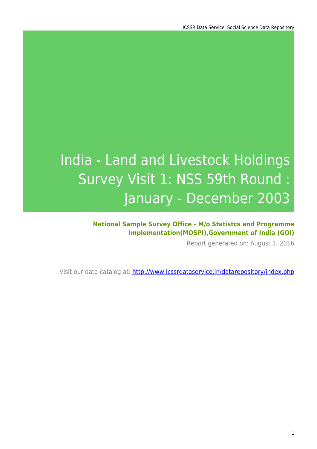# India - Land and Livestock Holdings Survey Visit 1: NSS 59th Round : January - December 2003

### **National Sample Survey Office - M/o Statistcs and Programme Implementation(MOSPI),Government of India (GOI)**

Report generated on: August 1, 2016

Visit our data catalog at: http://www.icssrdataservice.in/datarepository/index.php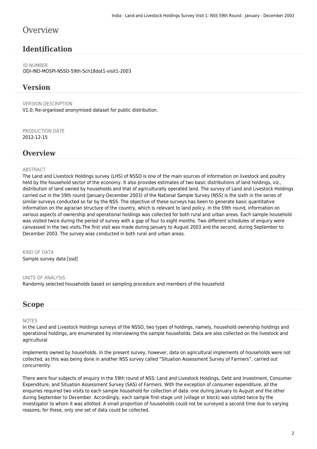### **Overview**

### **Identification**

ID NUMBER DDI-IND-MOSPI-NSSO-59th-Sch18dot1-visit1-2003

### **Version**

VERSION DESCRIPTION V1.0; Re-organised anonymised dataset for public distribution.

PRODUCTION DATE 2012-12-15

### **Overview**

#### **ABSTRACT**

The Land and Livestock Holdings survey (LHS) of NSSO is one of the main sources of information on livestock and poultry held by the household sector of the economy. It also provides estimates of two basic distributions of land holdings, viz., distribution of land owned by households and that of agriculturally operated land. The survey of Land and Livestock Holdings carried out in the 59th round (January-December 2003) of the National Sample Survey (NSS) is the sixth in the series of similar surveys conducted so far by the NSS. The objective of these surveys has been to generate basic quantitative information on the agrarian structure of the country, which is relevant to land policy. In the 59th round, information on various aspects of ownership and operational holdings was collected for both rural and urban areas. Each sample household was visited twice during the period of survey with a gap of four to eight months. Two different schedules of enquiry were canvassed in the two visits.The first visit was made during January to August 2003 and the second, during September to December 2003. The survey wias conducted in both rural and urban areas.

KIND OF DATA Sample survey data [ssd]

UNITS OF ANALYSIS Randomly selected households based on sampling procedure and members of the household

### **Scope**

#### **NOTES**

In the Land and Livestock Holdings surveys of the NSSO, two types of holdings, namely, household ownership holdings and operational holdings, are enumerated by interviewing the sample households. Data are also collected on the livestock and agricultural

implements owned by households. In the present survey, however, data on agricultural implements of households were not collected, as this was being done in another NSS survey called "Situation Assessment Survey of Farmers", carried out concurrently.

There were four subjects of enquiry in the 59th round of NSS: Land and Livestock Holdings, Debt and Investment, Consumer Expenditure, and Situation Assessment Survey (SAS) of Farmers. With the exception of consumer expenditure, all the enquiries required two visits to each sample household for collection of data: one during January to August and the other during September to December. Accordingly, each sample first-stage unit (village or block) was visited twice by the investigator to whom it was allotted. A small proportion of households could not be surveyed a second time due to varying reasons; for these, only one set of data could be collected.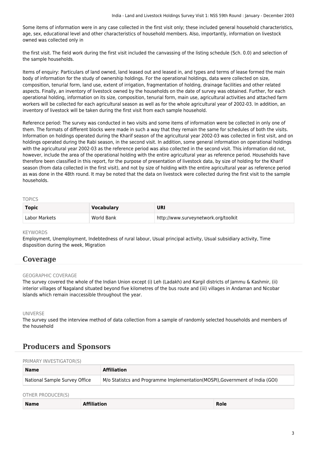Some items of information were in any case collected in the first visit only; these included general household characteristics, age, sex, educational level and other characteristics of household members. Also, importantly, information on livestock owned was collected only in

the first visit. The field work during the first visit included the canvassing of the listing schedule (Sch. 0.0) and selection of the sample households.

Items of enquiry: Particulars of land owned, land leased out and leased in, and types and terms of lease formed the main body of information for the study of ownership holdings. For the operational holdings, data were collected on size, composition, tenurial form, land use, extent of irrigation, fragmentation of holding, drainage facilities and other related aspects. Finally, an inventory of livestock owned by the households on the date of survey was obtained. Further, for each operational holding, information on its size, composition, tenurial form, main use, agricultural activities and attached farm workers will be collected for each agricultural season as well as for the whole agricultural year of 2002-03. In addition, an inventory of livestock will be taken during the first visit from each sample household.

Reference period: The survey was conducted in two visits and some items of information were be collected in only one of them. The formats of different blocks were made in such a way that they remain the same for schedules of both the visits. Information on holdings operated during the Kharif season of the agricultural year 2002-03 was collected in first visit, and on holdings operated during the Rabi season, in the second visit. In addition, some general information on operational holdings with the agricultural year 2002-03 as the reference period was also collected in the second visit. This information did not, however, include the area of the operational holding with the entire agricultural year as reference period. Households have therefore been classified in this report, for the purpose of presentation of livestock data, by size of holding for the Kharif season (from data collected in the first visit), and not by size of holding with the entire agricultural year as reference period as was done in the 48th round. It may be noted that the data on livestock were collected during the first visit to the sample households.

#### TOPICS

| <b>Topic</b>  | <b>Vocabulary</b> | URI                                  |
|---------------|-------------------|--------------------------------------|
| Labor Markets | World Bank        | http://www.surveynetwork.org/toolkit |

#### KEYWORDS

Employment, Unemployment, Indebtedness of rural labour, Usual principal activity, Usual subsidiary activity, Time disposition during the week, Migration

### **Coverage**

### GEOGRAPHIC COVERAGE

The survey covered the whole of the Indian Union except (i) Leh (Ladakh) and Kargil districts of Jammu & Kashmir, (ii) interior villages of Nagaland situated beyond five kilometres of the bus route and (iii) villages in Andaman and Nicobar Islands which remain inaccessible throughout the year.

#### UNIVERSE

The survey used the interview method of data collection from a sample of randomly selected households and members of the household

### **Producers and Sponsors**

#### PRIMARY INVESTIGATOR(S)

| <b>Name</b>                   | <b>Affiliation</b>                                                           |
|-------------------------------|------------------------------------------------------------------------------|
| National Sample Survey Office | M/o Statistcs and Programme Implementation(MOSPI), Government of India (GOI) |

#### OTHER PRODUCER(S)

| <b>Affiliati</b><br><b>Name</b><br>Role<br>iation<br>____ |  |
|-----------------------------------------------------------|--|
|-----------------------------------------------------------|--|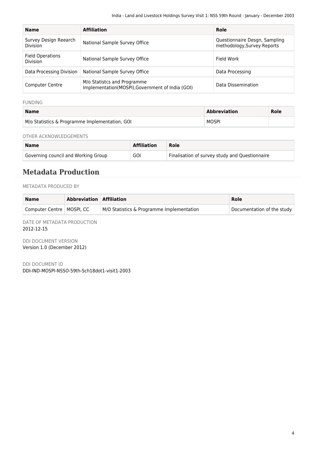| <b>Name</b>                                | <b>Affiliation</b>                                                              | Role                                                         |
|--------------------------------------------|---------------------------------------------------------------------------------|--------------------------------------------------------------|
| Survey Design Reearch<br><b>Division</b>   | National Sample Survey Office                                                   | Questionnaire Desgn, Sampling<br>methodology, Survey Reports |
| <b>Field Operations</b><br><b>Division</b> | National Sample Survey Office                                                   | Field Work                                                   |
| Data Processing Division                   | National Sample Survey Office                                                   | Data Processing                                              |
| <b>Computer Centre</b>                     | M/o Statistcs and Programme<br>Implementation(MOSPI), Government of India (GOI) | Data Dissemination                                           |

#### FUNDING

| <b>Name</b>                                    | <b>Abbreviation</b> | Role |
|------------------------------------------------|---------------------|------|
| M/o Statistics & Programme Implementation, GOI | MOSPI               |      |

#### OTHER ACKNOWLEDGEMENTS

| <b>Name</b>                         | <b>Affiliation</b> | Role                                           |
|-------------------------------------|--------------------|------------------------------------------------|
| Governing council and Working Group | GOI                | Finalisation of survey study and Questionnaire |

### **Metadata Production**

METADATA PRODUCED BY

| <b>Name</b>                 | Abbreviation Affiliation |                                           | Role                       |
|-----------------------------|--------------------------|-------------------------------------------|----------------------------|
| Computer Centre   MOSPI, CC |                          | M/O Statistics & Programme Implementation | Documentation of the study |

DATE OF METADATA PRODUCTION 2012-12-15

DDI DOCUMENT VERSION Version 1.0 (December 2012)

DDI DOCUMENT ID DDI-IND-MOSPI-NSSO-59th-Sch18dot1-visit1-2003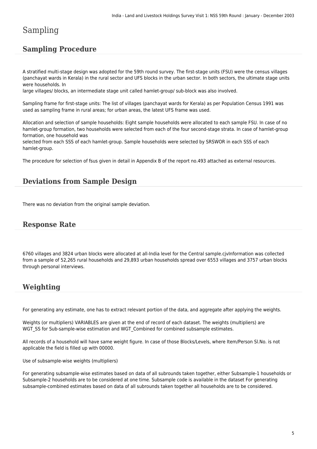# Sampling

### **Sampling Procedure**

A stratified multi-stage design was adopted for the 59th round survey. The first-stage units (FSU) were the census villages (panchayat wards in Kerala) in the rural sector and UFS blocks in the urban sector. In both sectors, the ultimate stage units were households. In

large villages/ blocks, an intermediate stage unit called hamlet-group/ sub-block was also involved.

Sampling frame for first-stage units: The list of villages (panchayat wards for Kerala) as per Population Census 1991 was used as sampling frame in rural areas; for urban areas, the latest UFS frame was used.

Allocation and selection of sample households: Eight sample households were allocated to each sample FSU. In case of no hamlet-group formation, two households were selected from each of the four second-stage strata. In case of hamlet-group formation, one household was

selected from each SSS of each hamlet-group. Sample households were selected by SRSWOR in each SSS of each hamlet-group.

The procedure for selection of fsus given in detail in Appendix B of the report no.493 attached as external resources.

### **Deviations from Sample Design**

There was no deviation from the original sample deviation.

### **Response Rate**

6760 villages and 3824 urban blocks were allocated at all-India level for the Central sample.cjvInformation was collected from a sample of 52,265 rural households and 29,893 urban households spread over 6553 villages and 3757 urban blocks through personal interviews.

### **Weighting**

For generating any estimate, one has to extract relevant portion of the data, and aggregate after applying the weights.

Weights (or multipliers) VARIABLES are given at the end of record of each dataset. The weights (multipliers) are WGT\_SS for Sub-sample-wise estimation and WGT\_Combined for combined subsample estimates.

All records of a household will have same weight figure. In case of those Blocks/Levels, where Item/Person Sl.No. is not applicable the field is filled up with 00000.

Use of subsample-wise weights (multipliers)

For generating subsample-wise estimates based on data of all subrounds taken together, either Subsample-1 households or Subsample-2 households are to be considered at one time. Subsample code is available in the dataset For generating subsample-combined estimates based on data of all subrounds taken together all households are to be considered.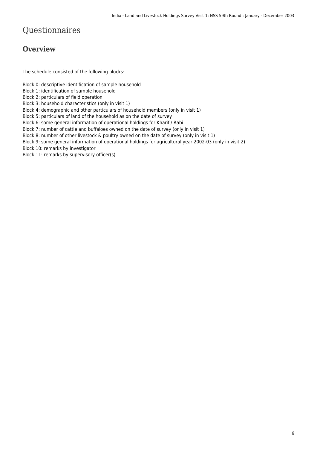# Questionnaires

### **Overview**

The schedule consisted of the following blocks:

- Block 0: descriptive identification of sample household
- Block 1: identification of sample household
- Block 2: particulars of field operation

Block 3: household characteristics (only in visit 1)

Block 4: demographic and other particulars of household members (only in visit 1)

Block 5: particulars of land of the household as on the date of survey

Block 6: some general information of operational holdings for Kharif / Rabi

Block 7: number of cattle and buffaloes owned on the date of survey (only in visit 1)

Block 8: number of other livestock & poultry owned on the date of survey (only in visit 1)

Block 9: some general information of operational holdings for agricultural year 2002-03 (only in visit 2)

Block 10: remarks by investigator

Block 11: remarks by supervisory officer(s)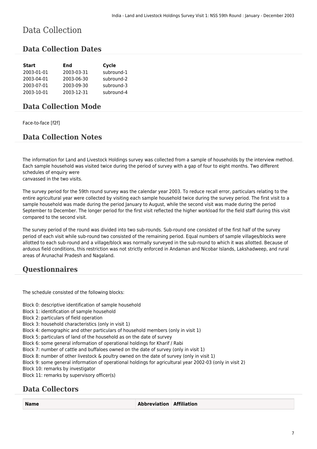# Data Collection

### **Data Collection Dates**

| <b>Start</b> | End        | Cycle      |
|--------------|------------|------------|
| 2003-01-01   | 2003-03-31 | subround-1 |
| 2003-04-01   | 2003-06-30 | subround-2 |
| 2003-07-01   | 2003-09-30 | subround-3 |
| 2003-10-01   | 2003-12-31 | subround-4 |

### **Data Collection Mode**

Face-to-face [f2f]

### **Data Collection Notes**

The information for Land and Livestock Holdings survey was collected from a sample of households by the interview method. Each sample household was visited twice during the period of survey with a gap of four to eight months. Two different schedules of enquiry were

canvassed in the two visits.

The survey period for the 59th round survey was the calendar year 2003. To reduce recall error, particulars relating to the entire agricultural year were collected by visiting each sample household twice during the survey period. The first visit to a sample household was made during the period January to August, while the second visit was made during the period September to December. The longer period for the first visit reflected the higher workload for the field staff during this visit compared to the second visit.

The survey period of the round was divided into two sub-rounds. Sub-round one consisted of the first half of the survey period of each visit while sub-round two consisted of the remaining period. Equal numbers of sample villages/blocks were allotted to each sub-round and a village/block was normally surveyed in the sub-round to which it was allotted. Because of arduous field conditions, this restriction was not strictly enforced in Andaman and Nicobar Islands, Lakshadweep, and rural areas of Arunachal Pradesh and Nagaland.

### **Questionnaires**

The schedule consisted of the following blocks:

Block 0: descriptive identification of sample household

- Block 1: identification of sample household
- Block 2: particulars of field operation
- Block 3: household characteristics (only in visit 1)
- Block 4: demographic and other particulars of household members (only in visit 1)
- Block 5: particulars of land of the household as on the date of survey

Block 6: some general information of operational holdings for Kharif / Rabi

Block 7: number of cattle and buffaloes owned on the date of survey (only in visit 1)

Block 8: number of other livestock & poultry owned on the date of survey (only in visit 1)

Block 9: some general information of operational holdings for agricultural year 2002-03 (only in visit 2)

Block 10: remarks by investigator

Block 11: remarks by supervisory officer(s)

### **Data Collectors**

**Name Abbreviation Affiliation**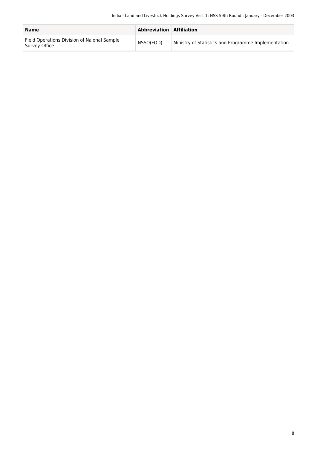| Name                                                         | <b>Abbreviation Affiliation</b> |                                                     |
|--------------------------------------------------------------|---------------------------------|-----------------------------------------------------|
| Field Operations Division of Naional Sample<br>Survey Office | NSSO(FOD)                       | Ministry of Statistics and Programme Implementation |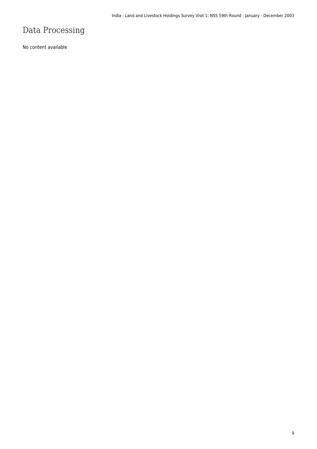# Data Processing

No content available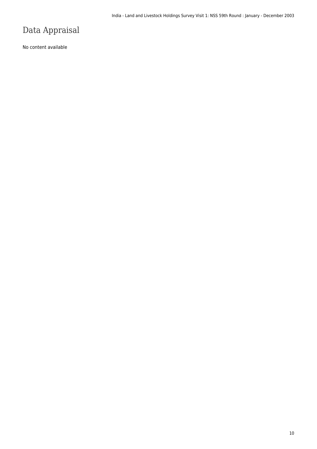# Data Appraisal

No content available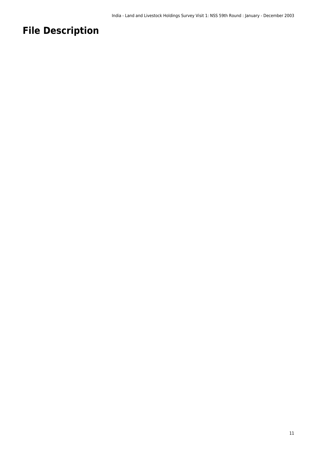# **File Description**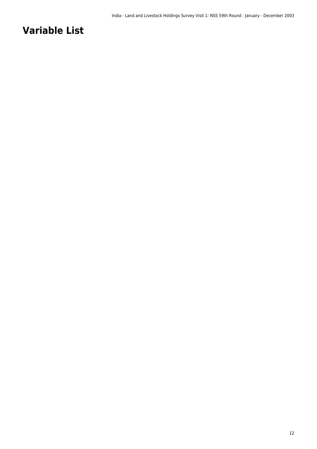# **Variable List**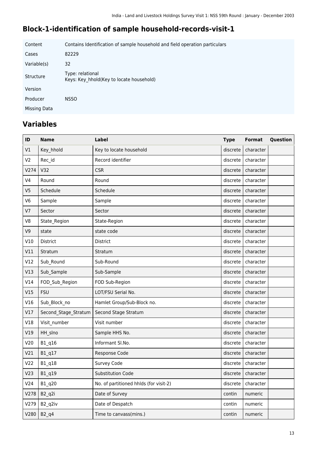### **Block-1-identification of sample household-records-visit-1**

| Content      | Contains Identification of sample household and field operation particulars |
|--------------|-----------------------------------------------------------------------------|
| Cases        | 82229                                                                       |
| Variable(s)  | 32                                                                          |
| Structure    | Type: relational<br>Keys: Key hhold (Key to locate household)               |
| Version      |                                                                             |
| Producer     | <b>NSSO</b>                                                                 |
| Missing Data |                                                                             |

| ID              | <b>Name</b>          | <b>Label</b>                           | <b>Type</b> | <b>Format</b>          | Question |
|-----------------|----------------------|----------------------------------------|-------------|------------------------|----------|
| V1              | Key_hhold            | Key to locate household                | discrete    | character              |          |
| V <sub>2</sub>  | Rec_id               | Record identifier                      | discrete    | character              |          |
| V274            | V32                  | <b>CSR</b>                             | discrete    | character              |          |
| V <sub>4</sub>  | Round                | Round                                  | discrete    | character              |          |
| V <sub>5</sub>  | Schedule             | Schedule                               | discrete    | character              |          |
| V <sub>6</sub>  | Sample               | Sample                                 | discrete    | character              |          |
| V <sub>7</sub>  | Sector               | Sector                                 | discrete    | character              |          |
| V8              | State_Region         | State-Region                           | discrete    | character              |          |
| V <sub>9</sub>  | state                | state code                             | discrete    | character              |          |
| V10             | District             | District                               | discrete    | character              |          |
| V11             | Stratum              | Stratum                                | discrete    | character              |          |
| V12             | Sub_Round            | Sub-Round                              | discrete    | character              |          |
| V13             | Sub_Sample           | Sub-Sample                             | discrete    | character              |          |
| V14             | FOD Sub Region       | FOD Sub-Region                         | discrete    | character              |          |
| V15             | <b>FSU</b>           | LOT/FSU Serial No.                     | discrete    | character              |          |
| V16             | Sub Block no         | Hamlet Group/Sub-Block no.             | discrete    | character              |          |
| V17             | Second_Stage_Stratum | Second Stage Stratum                   | discrete    | character              |          |
| V18             | Visit_number         | Visit number                           | discrete    | character              |          |
| V19             | HH_slno              | Sample HHS No.                         | discrete    | character              |          |
| V20             | B1q16                | Informant SI.No.                       | discrete    | character              |          |
| V21             | B1q17                | Response Code                          | discrete    | character              |          |
| V <sub>22</sub> | B1q18                | Survey Code                            | discrete    | character              |          |
| V <sub>23</sub> | $B1_q19$             | Substitution Code                      |             | $discrete$   character |          |
| V24             | B1 q20               | No. of partitioned hhlds (for visit-2) | discrete    | character              |          |
| V278            | $B2_q2i$             | Date of Survey                         | contin      | numeric                |          |
| V279            | B <sub>2_q2iv</sub>  | Date of Despatch                       | contin      | numeric                |          |
| V280            | $B2_q4$              | Time to canvass(mins.)                 | contin      | numeric                |          |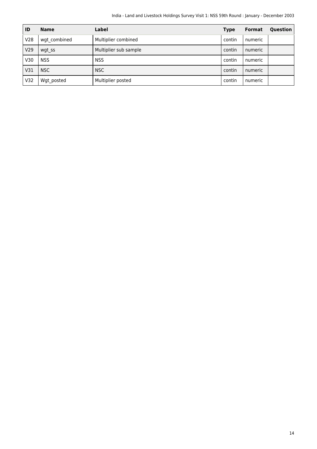India - Land and Livestock Holdings Survey Visit 1: NSS 59th Round : January - December 2003

| ID              | <b>Name</b>  | Label                 | <b>Type</b> | <b>Format</b> | Question |
|-----------------|--------------|-----------------------|-------------|---------------|----------|
| V28             | wgt combined | Multiplier combined   | contin      | numeric       |          |
| V <sub>29</sub> | wgt ss       | Multiplier sub sample | contin      | numeric       |          |
| V30             | <b>NSS</b>   | <b>NSS</b>            | contin      | numeric       |          |
| V31             | <b>NSC</b>   | <b>NSC</b>            | contin      | numeric       |          |
| V32             | Wgt posted   | Multiplier posted     | contin      | numeric       |          |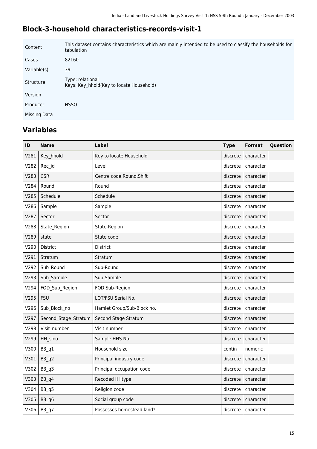### **Block-3-household characteristics-records-visit-1**

Content This dataset contains characteristics which are mainly intended to be used to classify the households for tabulation Cases 82160 Variable(s) 39 Structure Type: relational Keys: Key\_hhold(Key to locate Household) Version Producer NSSO Missing Data

| ID   | <b>Name</b>          | Label                      | <b>Type</b> | <b>Format</b> | Question |
|------|----------------------|----------------------------|-------------|---------------|----------|
| V281 | Key_hhold            | Key to locate Household    | discrete    | character     |          |
| V282 | Rec id               | Level                      | discrete    | character     |          |
| V283 | <b>CSR</b>           | Centre code, Round, Shift  | discrete    | character     |          |
| V284 | Round                | Round                      | discrete    | character     |          |
| V285 | Schedule             | Schedule                   | discrete    | character     |          |
| V286 | Sample               | Sample                     | discrete    | character     |          |
| V287 | Sector               | Sector                     | discrete    | character     |          |
| V288 | State_Region         | State-Region               | discrete    | character     |          |
| V289 | state                | State code                 | discrete    | character     |          |
| V290 | District             | <b>District</b>            | discrete    | character     |          |
| V291 | Stratum              | Stratum                    | discrete    | character     |          |
| V292 | Sub_Round            | Sub-Round                  | discrete    | character     |          |
| V293 | Sub_Sample           | Sub-Sample                 | discrete    | character     |          |
| V294 | FOD_Sub_Region       | FOD Sub-Region             | discrete    | character     |          |
| V295 | <b>FSU</b>           | LOT/FSU Serial No.         | discrete    | character     |          |
| V296 | Sub Block no         | Hamlet Group/Sub-Block no. | discrete    | character     |          |
| V297 | Second_Stage_Stratum | Second Stage Stratum       | discrete    | character     |          |
| V298 | Visit_number         | Visit number               | discrete    | character     |          |
| V299 | HH_slno              | Sample HHS No.             | discrete    | character     |          |
| V300 | $B3_q1$              | Household size             | contin      | numeric       |          |
| V301 | $B3_q2$              | Principal industry code    | discrete    | character     |          |
| V302 | $B3_q3$              | Principal occupation code  | discrete    | character     |          |
| V303 | $B3_q4$              | Recoded HHtype             | discrete    | character     |          |
| V304 | $B3_q5$              | Religion code              | discrete    | character     |          |
| V305 | B3_q6                | Social group code          | discrete    | character     |          |
| V306 | $B3_q7$              | Possesses homestead land?  | discrete    | character     |          |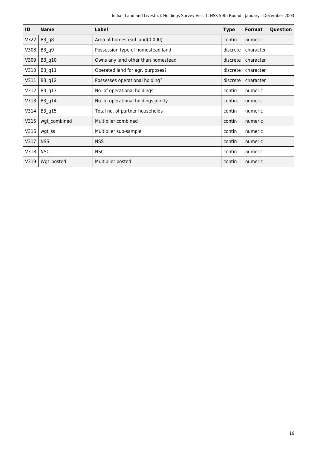| ID   | <b>Name</b>  | Label                               | <b>Type</b> | Format    | Question |
|------|--------------|-------------------------------------|-------------|-----------|----------|
| V322 | $B3_q8$      | Area of homestead land(0.000)       | contin      | numeric   |          |
| V308 | B3 q9        | Possession type of homestead land   | discrete    | character |          |
| V309 | B3 q10       | Owns any land other than homestead  | discrete    | character |          |
| V310 | B3_q11       | Operated land for agr. purposes?    | discrete    | character |          |
| V311 | B3 q12       | Possesses operational holding?      | discrete    | character |          |
| V312 | B3 q13       | No. of operational holdings         | contin      | numeric   |          |
| V313 | B3 q14       | No. of operational holdings jointly | contin      | numeric   |          |
| V314 | B3 q15       | Total no. of partner households     | contin      | numeric   |          |
| V315 | wgt combined | Multiplier combined                 | contin      | numeric   |          |
| V316 | wgt ss       | Multiplier sub-sample               | contin      | numeric   |          |
| V317 | <b>NSS</b>   | <b>NSS</b>                          | contin      | numeric   |          |
| V318 | <b>NSC</b>   | <b>NSC</b>                          | contin      | numeric   |          |
| V319 | Wgt posted   | Multiplier posted                   | contin      | numeric   |          |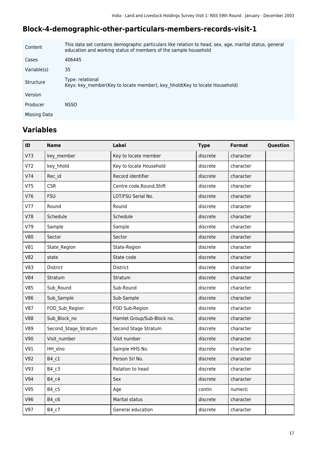### **Block-4-demographic-other-particulars-members-records-visit-1**

| Content      | This data set contains demographic particulars like relation to head, sex, age, marital status, genera<br>education and working status of members of the sample household |
|--------------|---------------------------------------------------------------------------------------------------------------------------------------------------------------------------|
| Cases        | 406445                                                                                                                                                                    |
| Variable(s)  | 35                                                                                                                                                                        |
| Structure    | Type: relational<br>Keys: key member(Key to locate member), key hhold(Key to locate Household)                                                                            |
| Version      |                                                                                                                                                                           |
| Producer     | <b>NSSO</b>                                                                                                                                                               |
| Missing Data |                                                                                                                                                                           |

| ID              | <b>Name</b>          | <b>Label</b>               | <b>Type</b> | <b>Format</b> | Question |
|-----------------|----------------------|----------------------------|-------------|---------------|----------|
| V <sub>73</sub> | key_member           | Key to locate member       | discrete    | character     |          |
| V72             | key_hhold            | Key to locate Household    | discrete    | character     |          |
| V74             | Rec_id               | Record identifier          | discrete    | character     |          |
| V75             | <b>CSR</b>           | Centre code, Round, Shift  | discrete    | character     |          |
| V76             | <b>FSU</b>           | LOT/FSU Serial No.         | discrete    | character     |          |
| V77             | Round                | Round                      | discrete    | character     |          |
| <b>V78</b>      | Schedule             | Schedule                   | discrete    | character     |          |
| V79             | Sample               | Sample                     | discrete    | character     |          |
| <b>V80</b>      | Sector               | Sector                     | discrete    | character     |          |
| V81             | State_Region         | State-Region               | discrete    | character     |          |
| <b>V82</b>      | state                | State code                 | discrete    | character     |          |
| V83             | District             | District                   | discrete    | character     |          |
| <b>V84</b>      | Stratum              | Stratum                    | discrete    | character     |          |
| <b>V85</b>      | Sub Round            | Sub-Round                  | discrete    | character     |          |
| <b>V86</b>      | Sub Sample           | Sub-Sample                 | discrete    | character     |          |
| <b>V87</b>      | FOD_Sub_Region       | FOD Sub-Region             | discrete    | character     |          |
| <b>V88</b>      | Sub_Block_no         | Hamlet Group/Sub-Block no. | discrete    | character     |          |
| V89             | Second_Stage_Stratum | Second Stage Stratum       | discrete    | character     |          |
| V90             | Visit number         | Visit number               | discrete    | character     |          |
| V91             | HH_slno              | Sample HHS No.             | discrete    | character     |          |
| V92             | $B4_C1$              | Person Srl No.             | discrete    | character     |          |
| V93             | $B4_C3$              | Relation to head           | discrete    | character     |          |
| V94             | $B4_C4$              | Sex                        | discrete    | character     |          |
| V95             | $B4_C5$              | Age                        | contin      | numeric       |          |
| V96             | $B4_c6$              | Marital status             | discrete    | character     |          |
| V97             | B4_c7                | General education          | discrete    | character     |          |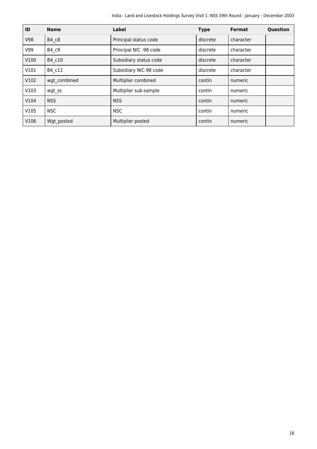| ID   | <b>Name</b>  | Label                  | <b>Type</b> | Format    | Question |
|------|--------------|------------------------|-------------|-----------|----------|
| V98  | B4_c8        | Principal status code  | discrete    | character |          |
| V99  | B4_c9        | Principal NIC -98 code | discrete    | character |          |
| V100 | B4 c10       | Subsidiary status code | discrete    | character |          |
| V101 | B4 c11       | Subsidiary NIC-98 code | discrete    | character |          |
| V102 | wgt combined | Multiplier combined    | contin      | numeric   |          |
| V103 | wgt ss       | Multiplier sub-sample  | contin      | numeric   |          |
| V104 | <b>NSS</b>   | <b>NSS</b>             | contin      | numeric   |          |
| V105 | <b>NSC</b>   | <b>NSC</b>             | contin      | numeric   |          |
| V106 | Wgt posted   | Multiplier posted      | contin      | numeric   |          |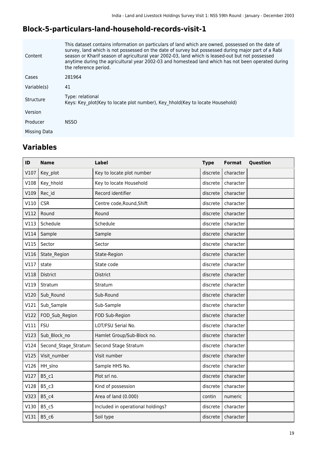# **Block-5-particulars-land-household-records-visit-1**

| Content      | This dataset contains information on particulars of land which are owned, possessed on the date of<br>survey, land which is not possessed on the date of survey but possessed during major part of a Rabi<br>season or Kharif season of agricultural year 2002-03, land which is leased-out but not possessed<br>anytime during the agricultural year 2002-03 and homestead land which has not been operated during<br>the reference period. |
|--------------|----------------------------------------------------------------------------------------------------------------------------------------------------------------------------------------------------------------------------------------------------------------------------------------------------------------------------------------------------------------------------------------------------------------------------------------------|
| Cases        | 281964                                                                                                                                                                                                                                                                                                                                                                                                                                       |
| Variable(s)  | 41                                                                                                                                                                                                                                                                                                                                                                                                                                           |
| Structure    | Type: relational<br>Keys: Key plot(Key to locate plot number), Key hhold(Key to locate Household)                                                                                                                                                                                                                                                                                                                                            |
| Version      |                                                                                                                                                                                                                                                                                                                                                                                                                                              |
| Producer     | <b>NSSO</b>                                                                                                                                                                                                                                                                                                                                                                                                                                  |
| Missing Data |                                                                                                                                                                                                                                                                                                                                                                                                                                              |

| ID   | <b>Name</b>          | Label                             | <b>Type</b> | <b>Format</b> | Question |
|------|----------------------|-----------------------------------|-------------|---------------|----------|
| V107 | Key_plot             | Key to locate plot number         | discrete    | character     |          |
| V108 | Key hhold            | Key to locate Household           | discrete    | character     |          |
| V109 | Rec id               | Record identifier                 | discrete    | character     |          |
| V110 | <b>CSR</b>           | Centre code, Round, Shift         | discrete    | character     |          |
| V112 | Round                | Round                             | discrete    | character     |          |
| V113 | Schedule             | Schedule                          | discrete    | character     |          |
| V114 | Sample               | Sample                            | discrete    | character     |          |
| V115 | Sector               | Sector                            | discrete    | character     |          |
| V116 | State Region         | State-Region                      | discrete    | character     |          |
| V117 | state                | State code                        | discrete    | character     |          |
| V118 | District             | District                          | discrete    | character     |          |
| V119 | Stratum              | Stratum                           | discrete    | character     |          |
| V120 | Sub_Round            | Sub-Round                         | discrete    | character     |          |
| V121 | Sub Sample           | Sub-Sample                        | discrete    | character     |          |
| V122 | FOD Sub Region       | FOD Sub-Region                    | discrete    | character     |          |
| V111 | <b>FSU</b>           | LOT/FSU Serial No.                | discrete    | character     |          |
| V123 | Sub_Block_no         | Hamlet Group/Sub-Block no.        | discrete    | character     |          |
| V124 | Second_Stage_Stratum | Second Stage Stratum              | discrete    | character     |          |
| V125 | Visit_number         | Visit number                      | discrete    | character     |          |
| V126 | HH slno              | Sample HHS No.                    | discrete    | character     |          |
| V127 | $B5_c1$              | Plot srl no.                      | discrete    | character     |          |
| V128 | $B5_c3$              | Kind of possession                | discrete    | character     |          |
| V323 | $B5_c4$              | Area of land (0.000)              | contin      | numeric       |          |
| V130 | $B5_c5$              | Included in operational holdings? | discrete    | character     |          |
| V131 | B5_c6                | Soil type                         | discrete    | character     |          |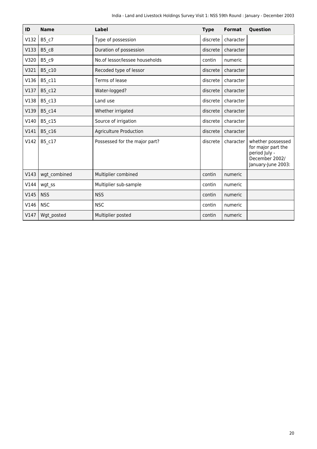| ID   | <b>Name</b>  | Label                          | <b>Type</b> | <b>Format</b> | Question                                                                                         |
|------|--------------|--------------------------------|-------------|---------------|--------------------------------------------------------------------------------------------------|
| V132 | $B5_C7$      | Type of possession             | discrete    | character     |                                                                                                  |
| V133 | B5_c8        | Duration of possession         | discrete    | character     |                                                                                                  |
| V320 | B5_c9        | No.of lessor/lessee households | contin      | numeric       |                                                                                                  |
| V321 | B5_c10       | Recoded type of lessor         | discrete    | character     |                                                                                                  |
| V136 | B5_c11       | Terms of lease                 | discrete    | character     |                                                                                                  |
| V137 | B5 c12       | Water-logged?                  | discrete    | character     |                                                                                                  |
| V138 | B5_c13       | Land use                       | discrete    | character     |                                                                                                  |
| V139 | B5_c14       | Whether irrigated              | discrete    | character     |                                                                                                  |
| V140 | B5_c15       | Source of irrigation           | discrete    | character     |                                                                                                  |
| V141 | B5_c16       | <b>Agriculture Production</b>  | discrete    | character     |                                                                                                  |
| V142 | B5_c17       | Possessed for the major part?  | discrete    | character     | whether possessed<br>for major part the<br>period July -<br>December 2002/<br>January-June 2003: |
| V143 | wgt combined | Multiplier combined            | contin      | numeric       |                                                                                                  |
| V144 | wgt ss       | Multiplier sub-sample          | contin      | numeric       |                                                                                                  |
| V145 | <b>NSS</b>   | <b>NSS</b>                     | contin      | numeric       |                                                                                                  |
| V146 | <b>NSC</b>   | <b>NSC</b>                     | contin      | numeric       |                                                                                                  |
| V147 | Wgt_posted   | Multiplier posted              | contin      | numeric       |                                                                                                  |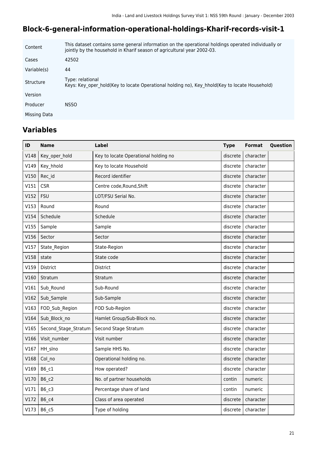### **Block-6-general-information-operational-holdings-Kharif-records-visit-1**

| Content      | This dataset contains some general information on the operational holdings operated individually or<br>jointly by the household in Kharif season of agricultural year 2002-03. |
|--------------|--------------------------------------------------------------------------------------------------------------------------------------------------------------------------------|
| Cases        | 42502                                                                                                                                                                          |
| Variable(s)  | 44                                                                                                                                                                             |
| Structure    | Type: relational<br>Keys: Key oper hold(Key to locate Operational holding no), Key hhold(Key to locate Household)                                                              |
| Version      |                                                                                                                                                                                |
| Producer     | <b>NSSO</b>                                                                                                                                                                    |
| Missing Data |                                                                                                                                                                                |

| ID   | <b>Name</b>          | Label                                | <b>Type</b> | <b>Format</b> | Question |
|------|----------------------|--------------------------------------|-------------|---------------|----------|
| V148 | Key oper hold        | Key to locate Operational holding no | discrete    | character     |          |
| V149 | Key_hhold            | Key to locate Household              | discrete    | character     |          |
| V150 | Rec_id               | Record identifier                    | discrete    | character     |          |
| V151 | <b>CSR</b>           | Centre code, Round, Shift            | discrete    | character     |          |
| V152 | <b>FSU</b>           | LOT/FSU Serial No.                   | discrete    | character     |          |
| V153 | Round                | Round                                | discrete    | character     |          |
| V154 | Schedule             | Schedule                             | discrete    | character     |          |
| V155 | Sample               | Sample                               | discrete    | character     |          |
| V156 | Sector               | Sector                               | discrete    | character     |          |
| V157 | State Region         | State-Region                         | discrete    | character     |          |
| V158 | state                | State code                           | discrete    | character     |          |
| V159 | District             | District                             | discrete    | character     |          |
| V160 | Stratum              | Stratum                              | discrete    | character     |          |
| V161 | Sub Round            | Sub-Round                            | discrete    | character     |          |
| V162 | Sub_Sample           | Sub-Sample                           | discrete    | character     |          |
| V163 | FOD_Sub_Region       | FOD Sub-Region                       | discrete    | character     |          |
| V164 | Sub Block no         | Hamlet Group/Sub-Block no.           | discrete    | character     |          |
| V165 | Second_Stage_Stratum | Second Stage Stratum                 | discrete    | character     |          |
| V166 | Visit number         | Visit number                         | discrete    | character     |          |
| V167 | HH_slno              | Sample HHS No.                       | discrete    | character     |          |
| V168 | Col_no               | Operational holding no.              | discrete    | character     |          |
| V169 | B6_c1                | How operated?                        | discrete    | character     |          |
| V170 | B6_c2                | No. of partner households            | contin      | numeric       |          |
| V171 | B6_c3                | Percentage share of land             | contin      | numeric       |          |
| V172 | B6_c4                | Class of area operated               | discrete    | character     |          |
| V173 | B6_c5                | Type of holding                      | discrete    | character     |          |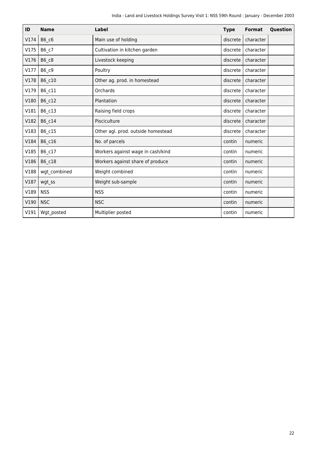| ID   | <b>Name</b>  | <b>Label</b>                       | <b>Type</b> | <b>Format</b> | <b>Question</b> |
|------|--------------|------------------------------------|-------------|---------------|-----------------|
| V174 | B6_c6        | Main use of holding                | discrete    | character     |                 |
| V175 | B6_c7        | Cultivation in kitchen garden      | discrete    | character     |                 |
| V176 | B6 c8        | Livestock keeping                  | discrete    | character     |                 |
| V177 | B6_c9        | Poultry                            | discrete    | character     |                 |
| V178 | B6_c10       | Other ag. prod. in homestead       | discrete    | character     |                 |
| V179 | B6_c11       | Orchards                           | discrete    | character     |                 |
| V180 | B6_c12       | Plantation                         | discrete    | character     |                 |
| V181 | B6_c13       | Raising field crops                | discrete    | character     |                 |
| V182 | B6_c14       | Pisciculture                       | discrete    | character     |                 |
| V183 | B6 c15       | Other agl. prod. outside homestead | discrete    | character     |                 |
| V184 | B6 c16       | No. of parcels                     | contin      | numeric       |                 |
| V185 | B6 c17       | Workers against wage in cash/kind  | contin      | numeric       |                 |
| V186 | B6_c18       | Workers against share of produce   | contin      | numeric       |                 |
| V188 | wgt_combined | Weight combined                    | contin      | numeric       |                 |
| V187 | wgt_ss       | Weight sub-sample                  | contin      | numeric       |                 |
| V189 | <b>NSS</b>   | <b>NSS</b>                         | contin      | numeric       |                 |
| V190 | <b>NSC</b>   | <b>NSC</b>                         | contin      | numeric       |                 |
| V191 | Wgt posted   | Multiplier posted                  | contin      | numeric       |                 |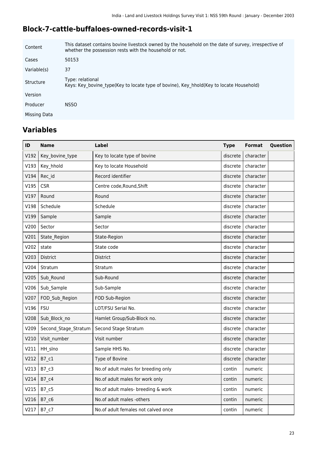# **Block-7-cattle-buffaloes-owned-records-visit-1**

| Content      | This dataset contains bovine livestock owned by the household on the date of survey, irrespective of<br>whether the possession rests with the household or not. |
|--------------|-----------------------------------------------------------------------------------------------------------------------------------------------------------------|
| Cases        | 50153                                                                                                                                                           |
| Variable(s)  | 37                                                                                                                                                              |
| Structure    | Type: relational<br>Keys: Key bovine type(Key to locate type of bovine), Key hhold(Key to locate Household)                                                     |
| Version      |                                                                                                                                                                 |
| Producer     | <b>NSSO</b>                                                                                                                                                     |
| Missing Data |                                                                                                                                                                 |

| ID   | <b>Name</b>          | <b>Label</b>                        | <b>Type</b> | <b>Format</b> | Question |
|------|----------------------|-------------------------------------|-------------|---------------|----------|
| V192 | Key_bovine_type      | Key to locate type of bovine        | discrete    | character     |          |
| V193 | Key hhold            | Key to locate Household             | discrete    | character     |          |
| V194 | Rec_id               | Record identifier                   | discrete    | character     |          |
| V195 | <b>CSR</b>           | Centre code, Round, Shift           | discrete    | character     |          |
| V197 | Round                | Round                               | discrete    | character     |          |
| V198 | Schedule             | Schedule                            | discrete    | character     |          |
| V199 | Sample               | Sample                              | discrete    | character     |          |
| V200 | Sector               | Sector                              | discrete    | character     |          |
| V201 | State Region         | State-Region                        | discrete    | character     |          |
| V202 | state                | State code                          | discrete    | character     |          |
| V203 | District             | <b>District</b>                     | discrete    | character     |          |
| V204 | Stratum              | Stratum                             | discrete    | character     |          |
| V205 | Sub_Round            | Sub-Round                           | discrete    | character     |          |
| V206 | Sub Sample           | Sub-Sample                          | discrete    | character     |          |
| V207 | FOD_Sub_Region       | FOD Sub-Region                      | discrete    | character     |          |
| V196 | <b>FSU</b>           | LOT/FSU Serial No.                  | discrete    | character     |          |
| V208 | Sub Block no         | Hamlet Group/Sub-Block no.          | discrete    | character     |          |
| V209 | Second_Stage_Stratum | Second Stage Stratum                | discrete    | character     |          |
| V210 | Visit number         | Visit number                        | discrete    | character     |          |
| V211 | HH_slno              | Sample HHS No.                      | discrete    | character     |          |
| V212 | $B7_c1$              | Type of Bovine                      | discrete    | character     |          |
| V213 | B7_c3                | No.of adult males for breeding only | contin      | numeric       |          |
| V214 | $B7_c4$              | No.of adult males for work only     | contin      | numeric       |          |
| V215 | B7_c5                | No.of adult males- breeding & work  | contin      | numeric       |          |
| V216 | B7_c6                | No.of adult males -others           | contin      | numeric       |          |
| V217 | B7_c7                | No.of adult females not calved once | contin      | numeric       |          |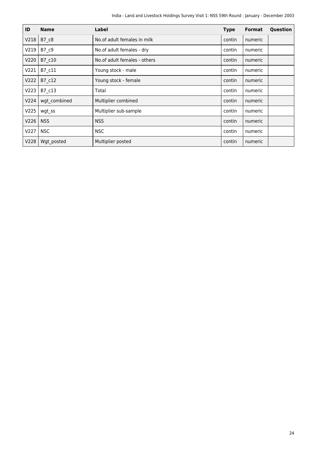| $\overline{1}$ | <b>Name</b>  | Label                        | <b>Type</b> | <b>Format</b> | Question |
|----------------|--------------|------------------------------|-------------|---------------|----------|
| V218           | B7 c8        | No.of adult females in milk  | contin      | numeric       |          |
| V219           | B7_c9        | No.of adult females - dry    | contin      | numeric       |          |
| V220           | B7 c10       | No.of adult females - others | contin      | numeric       |          |
| V221           | B7 c11       | Young stock - male           | contin      | numeric       |          |
| V222           | B7 c12       | Young stock - female         | contin      | numeric       |          |
| V223           | B7 c13       | Total                        | contin      | numeric       |          |
| V224           | wgt combined | Multiplier combined          | contin      | numeric       |          |
| V225           | wgt ss       | Multiplier sub-sample        | contin      | numeric       |          |
| V226           | <b>NSS</b>   | <b>NSS</b>                   | contin      | numeric       |          |
| V227           | <b>NSC</b>   | <b>NSC</b>                   | contin      | numeric       |          |
| V228           | Wgt posted   | Multiplier posted            | contin      | numeric       |          |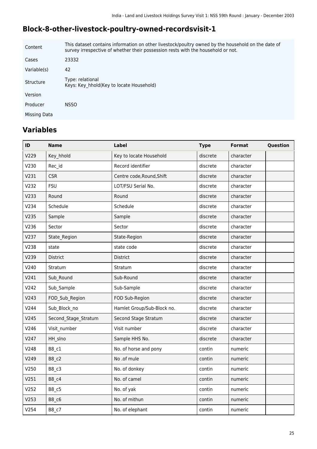# **Block-8-other-livestock-poultry-owned-recordsvisit-1**

| Content      | This dataset contains information on other livestock/poultry owned by the household on the date of<br>survey irrespective of whether their possession rests with the household or not. |
|--------------|----------------------------------------------------------------------------------------------------------------------------------------------------------------------------------------|
| Cases        | 23332                                                                                                                                                                                  |
| Variable(s)  | 42                                                                                                                                                                                     |
| Structure    | Type: relational<br>Keys: Key hhold(Key to locate Household)                                                                                                                           |
| Version      |                                                                                                                                                                                        |
| Producer     | <b>NSSO</b>                                                                                                                                                                            |
| Missing Data |                                                                                                                                                                                        |

| ID   | <b>Name</b>          | <b>Label</b>               | <b>Type</b> | Format    | Question |
|------|----------------------|----------------------------|-------------|-----------|----------|
| V229 | Key hhold            | Key to locate Household    | discrete    | character |          |
| V230 | Rec id               | Record identifier          | discrete    | character |          |
| V231 | <b>CSR</b>           | Centre code, Round, Shift  | discrete    | character |          |
| V232 | <b>FSU</b>           | LOT/FSU Serial No.         | discrete    | character |          |
| V233 | Round                | Round                      | discrete    | character |          |
| V234 | Schedule             | Schedule                   | discrete    | character |          |
| V235 | Sample               | Sample                     | discrete    | character |          |
| V236 | Sector               | Sector                     | discrete    | character |          |
| V237 | State_Region         | State-Region               | discrete    | character |          |
| V238 | state                | state code                 | discrete    | character |          |
| V239 | <b>District</b>      | <b>District</b>            | discrete    | character |          |
| V240 | Stratum              | Stratum                    | discrete    | character |          |
| V241 | Sub_Round            | Sub-Round                  | discrete    | character |          |
| V242 | Sub Sample           | Sub-Sample                 | discrete    | character |          |
| V243 | FOD Sub Region       | FOD Sub-Region             | discrete    | character |          |
| V244 | Sub_Block_no         | Hamlet Group/Sub-Block no. | discrete    | character |          |
| V245 | Second Stage Stratum | Second Stage Stratum       | discrete    | character |          |
| V246 | Visit_number         | Visit number               | discrete    | character |          |
| V247 | HH slno              | Sample HHS No.             | discrete    | character |          |
| V248 | B8_c1                | No. of horse and pony      | contin      | numeric   |          |
| V249 | B8_c2                | No .of mule                | contin      | numeric   |          |
| V250 | B8_c3                | No. of donkey              | contin      | numeric   |          |
| V251 | B8_c4                | No. of camel               | contin      | numeric   |          |
| V252 | B8_c5                | No. of yak                 | contin      | numeric   |          |
| V253 | B8_c6                | No. of mithun              | contin      | numeric   |          |
| V254 | B8_c7                | No. of elephant            | contin      | numeric   |          |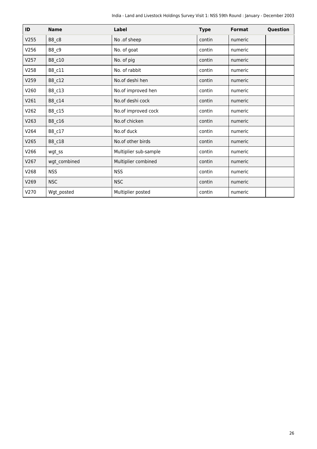| ID   | <b>Name</b>  | Label                 | <b>Type</b> | <b>Format</b> | Question |
|------|--------------|-----------------------|-------------|---------------|----------|
| V255 | B8_c8        | No .of sheep          | contin      | numeric       |          |
| V256 | B8_c9        | No. of goat           | contin      | numeric       |          |
| V257 | B8_c10       | No. of pig            | contin      | numeric       |          |
| V258 | B8_c11       | No. of rabbit         | contin      | numeric       |          |
| V259 | B8_c12       | No.of deshi hen       | contin      | numeric       |          |
| V260 | B8_c13       | No.of improved hen    | contin      | numeric       |          |
| V261 | B8_c14       | No.of deshi cock      | contin      | numeric       |          |
| V262 | B8_c15       | No.of improved cock   | contin      | numeric       |          |
| V263 | B8_c16       | No.of chicken         | contin      | numeric       |          |
| V264 | B8_c17       | No.of duck            | contin      | numeric       |          |
| V265 | B8_c18       | No.of other birds     | contin      | numeric       |          |
| V266 | wgt_ss       | Multiplier sub-sample | contin      | numeric       |          |
| V267 | wgt_combined | Multiplier combined   | contin      | numeric       |          |
| V268 | <b>NSS</b>   | <b>NSS</b>            | contin      | numeric       |          |
| V269 | <b>NSC</b>   | <b>NSC</b>            | contin      | numeric       |          |
| V270 | Wgt posted   | Multiplier posted     | contin      | numeric       |          |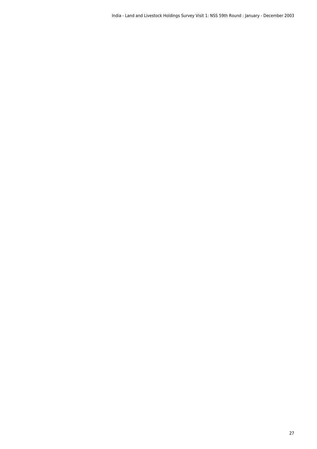India - Land and Livestock Holdings Survey Visit 1: NSS 59th Round : January - December 2003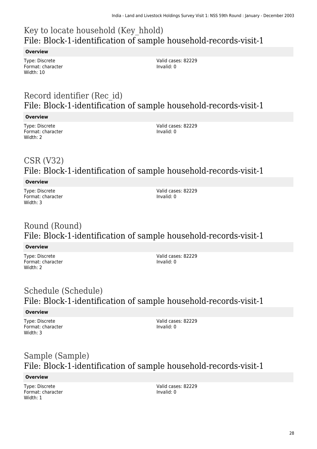# Key to locate household (Key\_hhold) File: Block-1-identification of sample household-records-visit-1

**Overview**

Type: Discrete Format: character Width: 10

Valid cases: 82229 Invalid: 0

# Record identifier (Rec\_id) File: Block-1-identification of sample household-records-visit-1

### **Overview**

Type: Discrete Format: character Width: 2

Valid cases: 82229 Invalid: 0

# CSR (V32) File: Block-1-identification of sample household-records-visit-1

### **Overview**

Type: Discrete Format: character Width: 3

Valid cases: 82229 Invalid: 0

### Round (Round) File: Block-1-identification of sample household-records-visit-1

### **Overview**

Type: Discrete Format: character Width: 2

Valid cases: 82229 Invalid: 0

# Schedule (Schedule) File: Block-1-identification of sample household-records-visit-1

### **Overview**

Type: Discrete Format: character Width: 3

Valid cases: 82229 Invalid: 0

# Sample (Sample) File: Block-1-identification of sample household-records-visit-1

### **Overview**

Type: Discrete Format: character Width: 1

Valid cases: 82229 Invalid: 0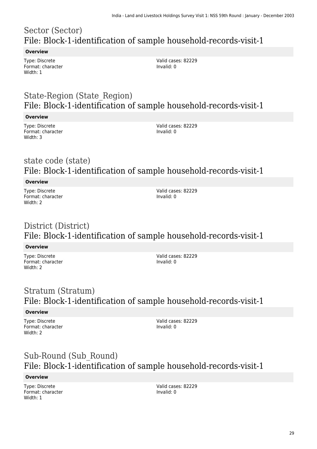# Sector (Sector) File: Block-1-identification of sample household-records-visit-1

#### **Overview**

Type: Discrete Format: character Width: 1

Valid cases: 82229 Invalid: 0

# State-Region (State\_Region) File: Block-1-identification of sample household-records-visit-1

### **Overview**

Type: Discrete Format: character Width: 3

Valid cases: 82229 Invalid: 0

# state code (state) File: Block-1-identification of sample household-records-visit-1

### **Overview**

Type: Discrete Format: character Width: 2

Valid cases: 82229 Invalid: 0

### District (District) File: Block-1-identification of sample household-records-visit-1

### **Overview**

Type: Discrete Format: character Width: 2

Valid cases: 82229 Invalid: 0

# Stratum (Stratum) File: Block-1-identification of sample household-records-visit-1

### **Overview**

Type: Discrete Format: character Width: 2

Valid cases: 82229 Invalid: 0

### Sub-Round (Sub\_Round) File: Block-1-identification of sample household-records-visit-1

### **Overview**

Type: Discrete Format: character Width: 1

Valid cases: 82229 Invalid: 0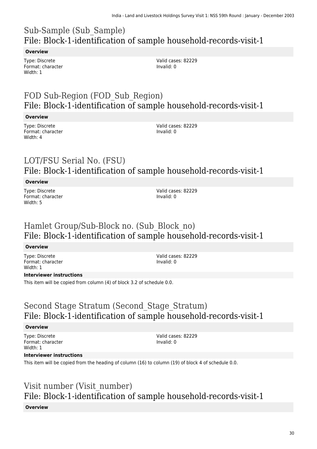# Sub-Sample (Sub\_Sample) File: Block-1-identification of sample household-records-visit-1

**Overview**

Type: Discrete Format: character Width: 1

Valid cases: 82229 Invalid: 0

# FOD Sub-Region (FOD\_Sub\_Region) File: Block-1-identification of sample household-records-visit-1

### **Overview**

Type: Discrete Format: character Width: 4

Valid cases: 82229 Invalid: 0

# LOT/FSU Serial No. (FSU) File: Block-1-identification of sample household-records-visit-1

### **Overview**

Type: Discrete Format: character Width: 5

Valid cases: 82229 Invalid: 0

### Hamlet Group/Sub-Block no. (Sub\_Block\_no) File: Block-1-identification of sample household-records-visit-1

### **Overview**

Type: Discrete Format: character Width: 1

Valid cases: 82229 Invalid: 0

### **Interviewer instructions**

This item will be copied from column (4) of block 3.2 of schedule 0.0.

# Second Stage Stratum (Second\_Stage\_Stratum) File: Block-1-identification of sample household-records-visit-1

### **Overview**

Type: Discrete Format: character Width: 1

Valid cases: 82229 Invalid: 0

### **Interviewer instructions**

This item will be copied from the heading of column (16) to column (19) of block 4 of schedule 0.0.

### Visit number (Visit\_number) File: Block-1-identification of sample household-records-visit-1 **Overview**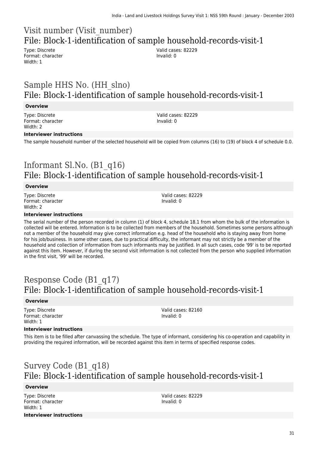# Visit number (Visit\_number) File: Block-1-identification of sample household-records-visit-1

Type: Discrete Format: character Width: 1

Valid cases: 82229 Invalid: 0

### Sample HHS No. (HH\_slno) File: Block-1-identification of sample household-records-visit-1

#### **Overview**

Type: Discrete Format: character Width: 2

Valid cases: 82229 Invalid: 0

### **Interviewer instructions**

The sample household number of the selected household will be copied from columns (16) to (19) of block 4 of schedule 0.0.

# Informant Sl.No. (B1\_q16) File: Block-1-identification of sample household-records-visit-1

#### **Overview**

Type: Discrete Format: character Width: 2

#### **Interviewer instructions**

The serial number of the person recorded in column (1) of block 4, schedule 18.1 from whom the bulk of the information is collected will be entered. Information is to be collected from members of the household. Sometimes some persons although not a member of the household may give correct information e.g. head of the household who is staying away from home for his job/business. In some other cases, due to practical difficulty, the informant may not strictly be a member of the household and collection of information from such informants may be justified. In all such cases, code '99' is to be reported against this item. However, if during the second visit information is not collected from the person who supplied information in the first visit, '99' will be recorded.

# Response Code (B1\_q17) File: Block-1-identification of sample household-records-visit-1

#### **Overview**

Type: Discrete Format: character Width: 1

Valid cases: 82160 Invalid: 0

#### **Interviewer instructions**

This item is to be filled after canvassing the schedule. The type of informant, considering his co-operation and capability in providing the required information, will be recorded against this item in terms of specified response codes.

# Survey Code (B1\_q18) File: Block-1-identification of sample household-records-visit-1

#### **Overview**

Type: Discrete Format: character Width: 1 **Interviewer instructions**

Valid cases: 82229 Invalid: 0

Valid cases: 82229 Invalid: 0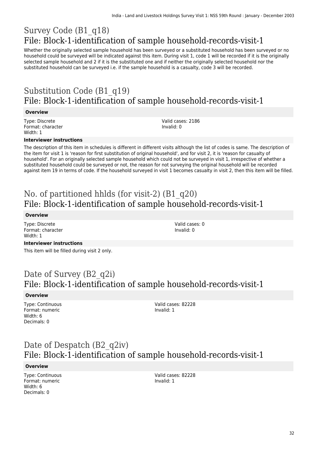# Survey Code (B1\_q18) File: Block-1-identification of sample household-records-visit-1

Whether the originally selected sample household has been surveyed or a substituted household has been surveyed or no household could be surveyed will be indicated against this item. During visit 1, code 1 will be recorded if it is the originally selected sample household and 2 if it is the substituted one and if neither the originally selected household nor the substituted household can be surveyed i.e. if the sample household is a casualty, code 3 will be recorded.

# Substitution Code (B1\_q19) File: Block-1-identification of sample household-records-visit-1

### **Overview**

Type: Discrete Format: character Width: 1

### Valid cases: 2186 Invalid: 0

#### **Interviewer instructions**

The description of this item in schedules is different in different visits although the list of codes is same. The description of the item for visit 1 is 'reason for first substitution of original household', and for visit 2, it is 'reason for casualty of household'. For an originally selected sample household which could not be surveyed in visit 1, irrespective of whether a substituted household could be surveyed or not, the reason for not surveying the original household will be recorded against item 19 in terms of code. If the household surveyed in visit 1 becomes casualty in visit 2, then this item will be filled.

# No. of partitioned hhlds (for visit-2) (B1\_q20) File: Block-1-identification of sample household-records-visit-1

#### **Overview**

Type: Discrete Format: character Width: 1

Valid cases: 0 Invalid: 0

### **Interviewer instructions**

This item will be filled during visit 2 only.

### Date of Survey (B2\_q2i) File: Block-1-identification of sample household-records-visit-1

**Overview**

Type: Continuous Format: numeric Width: 6 Decimals: 0

Valid cases: 82228 Invalid: 1

### Date of Despatch (B2\_q2iv) File: Block-1-identification of sample household-records-visit-1

#### **Overview**

Type: Continuous Format: numeric Width: 6 Decimals: 0

Valid cases: 82228 Invalid: 1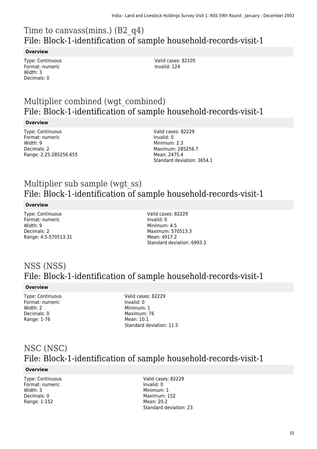# Time to canvass(mins.) (B2\_q4) File: Block-1-identification of sample household-records-visit-1

#### **Overview**

Type: Continuous Format: numeric Width: 3 Decimals: 0

Valid cases: 82105 Invalid: 124

# Multiplier combined (wgt\_combined) File: Block-1-identification of sample household-records-visit-1

### **Overview**

Type: Continuous Format: numeric Width: 9 Decimals: 2 Range: 2.25-285256.655 Valid cases: 82229 Invalid: 0 Minimum: 2.3 Maximum: 285256.7 Mean: 2475.4 Standard deviation: 3654.1

### Multiplier sub sample (wgt\_ss) File: Block-1-identification of sample household-records-visit-1

#### **Overview**

Type: Continuous Format: numeric Width: 9 Decimals: 2 Range: 4.5-570513.31 Valid cases: 82229 Invalid: 0 Minimum: 4.5 Maximum: 570513.3 Mean: 4917.2 Standard deviation: 6993.3

### NSS (NSS) File: Block-1-identification of sample household-records-visit-1

#### **Overview**

Type: Continuous Format: numeric Width: 2 Decimals: 0 Range: 1-76

Valid cases: 82229 Invalid: 0 Minimum: 1 Maximum: 76 Mean: 10.1 Standard deviation: 11.5

# NSC (NSC) File: Block-1-identification of sample household-records-visit-1

### **Overview**

Type: Continuous Format: numeric Width: 3 Decimals: 0 Range: 1-152

Valid cases: 82229 Invalid: 0 Minimum: 1 Maximum: 152 Mean: 20.2 Standard deviation: 23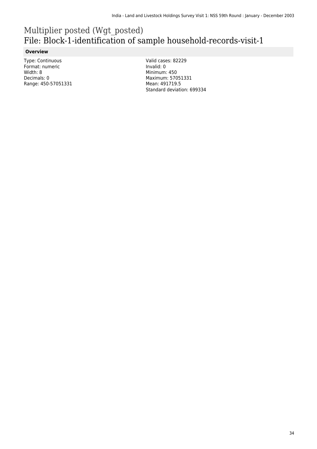# Multiplier posted (Wgt\_posted) File: Block-1-identification of sample household-records-visit-1

### **Overview**

Type: Continuous Format: numeric Width: 8 Decimals: 0 Range: 450-57051331 Valid cases: 82229 Invalid: 0 Minimum: 450 Maximum: 57051331 Mean: 491719.5 Standard deviation: 699334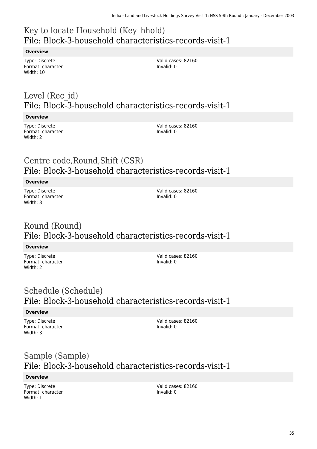# Key to locate Household (Key\_hhold) File: Block-3-household characteristics-records-visit-1

### **Overview**

Type: Discrete Format: character Width: 10

Valid cases: 82160 Invalid: 0

# Level (Rec\_id) File: Block-3-household characteristics-records-visit-1

### **Overview**

Type: Discrete Format: character Width: 2

Valid cases: 82160 Invalid: 0

### Centre code,Round,Shift (CSR) File: Block-3-household characteristics-records-visit-1

### **Overview**

Type: Discrete Format: character Width: 3

Valid cases: 82160 Invalid: 0

### Round (Round) File: Block-3-household characteristics-records-visit-1

### **Overview**

Type: Discrete Format: character Width: 2

Valid cases: 82160 Invalid: 0

# Schedule (Schedule) File: Block-3-household characteristics-records-visit-1

#### **Overview**

Type: Discrete Format: character Width: 3

Valid cases: 82160 Invalid: 0

# Sample (Sample) File: Block-3-household characteristics-records-visit-1

### **Overview**

Type: Discrete Format: character Width: 1

Valid cases: 82160 Invalid: 0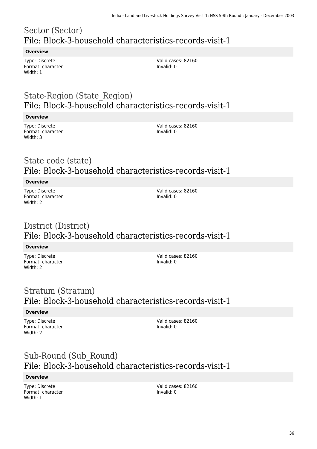# Sector (Sector) File: Block-3-household characteristics-records-visit-1

#### **Overview**

Type: Discrete Format: character Width: 1

Valid cases: 82160 Invalid: 0

# State-Region (State\_Region) File: Block-3-household characteristics-records-visit-1

### **Overview**

Type: Discrete Format: character Width: 3

Valid cases: 82160 Invalid: 0

# State code (state) File: Block-3-household characteristics-records-visit-1

### **Overview**

Type: Discrete Format: character Width: 2

Valid cases: 82160 Invalid: 0

### District (District) File: Block-3-household characteristics-records-visit-1

### **Overview**

Type: Discrete Format: character Width: 2

Valid cases: 82160 Invalid: 0

### Stratum (Stratum) File: Block-3-household characteristics-records-visit-1

#### **Overview**

Type: Discrete Format: character Width: 2

Valid cases: 82160 Invalid: 0

### Sub-Round (Sub\_Round) File: Block-3-household characteristics-records-visit-1

### **Overview**

Type: Discrete Format: character Width: 1

Valid cases: 82160 Invalid: 0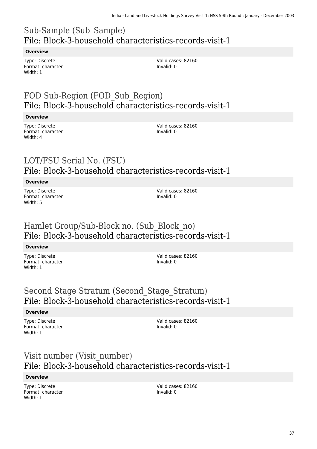# Sub-Sample (Sub\_Sample) File: Block-3-household characteristics-records-visit-1

### **Overview**

Type: Discrete Format: character Width: 1

Valid cases: 82160 Invalid: 0

# FOD Sub-Region (FOD\_Sub\_Region) File: Block-3-household characteristics-records-visit-1

### **Overview**

Type: Discrete Format: character Width: 4

Valid cases: 82160 Invalid: 0

# LOT/FSU Serial No. (FSU) File: Block-3-household characteristics-records-visit-1

### **Overview**

Type: Discrete Format: character Width: 5

Valid cases: 82160 Invalid: 0

### Hamlet Group/Sub-Block no. (Sub\_Block\_no) File: Block-3-household characteristics-records-visit-1

### **Overview**

Type: Discrete Format: character Width: 1

Valid cases: 82160 Invalid: 0

### Second Stage Stratum (Second\_Stage\_Stratum) File: Block-3-household characteristics-records-visit-1

### **Overview**

Type: Discrete Format: character Width: 1

Valid cases: 82160 Invalid: 0

### Visit number (Visit\_number) File: Block-3-household characteristics-records-visit-1

### **Overview**

Type: Discrete Format: character Width: 1

Valid cases: 82160 Invalid: 0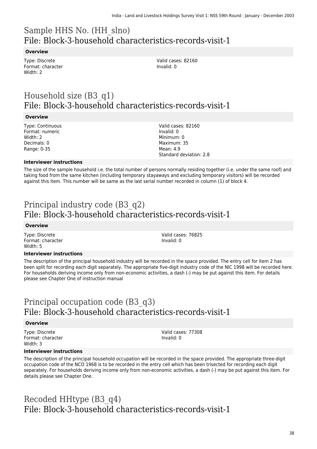# Sample HHS No. (HH\_slno) File: Block-3-household characteristics-records-visit-1

#### **Overview**

Type: Discrete Format: character Width: 2

Valid cases: 82160 Invalid: 0

# Household size (B3\_q1) File: Block-3-household characteristics-records-visit-1

#### **Overview**

Type: Continuous Format: numeric Width: 2 Decimals: 0 Range: 0-35

Valid cases: 82160 Invalid: 0 Minimum: 0 Maximum: 35 Mean: 49 Standard deviation: 2.8

### **Interviewer instructions**

The size of the sample household i.e. the total number of persons normally residing together (i.e. under the same roof) and taking food from the same kitchen (including temporary stayaways and excluding temporary visitors) will be recorded against this item. This number will be same as the last serial number recorded in column (1) of block 4.

### Principal industry code (B3\_q2) File: Block-3-household characteristics-records-visit-1

#### **Overview**

Type: Discrete Format: character Width: 5

Valid cases: 76825 Invalid: 0

#### **Interviewer instructions**

The description of the principal household industry will be recorded in the space provided. The entry cell for item 2 has been split for recording each digit separately. The appropriate five-digit industry code of the NIC 1998 will be recorded here. For households deriving income only from non-economic activities, a dash (-) may be put against this item. For details please see Chapter One of instruction manual

### Principal occupation code (B3\_q3) File: Block-3-household characteristics-records-visit-1

#### **Overview**

Type: Discrete Format: character Width: 3

Valid cases: 77308 Invalid: 0

#### **Interviewer instructions**

The description of the principal household occupation will be recorded in the space provided. The appropriate three-digit occupation code of the NCO 1968 is to be recorded in the entry cell which has been trisected for recording each digit separately. For households deriving income only from non-economic activities, a dash (-) may be put against this item. For details please see Chapter One.

# Recoded HHtype (B3\_q4) File: Block-3-household characteristics-records-visit-1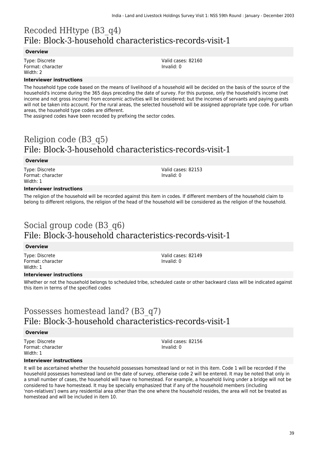# Recoded HHtype (B3\_q4) File: Block-3-household characteristics-records-visit-1

#### **Overview**

Type: Discrete Format: character Width: 2

#### **Interviewer instructions**

The household type code based on the means of livelihood of a household will be decided on the basis of the source of the household's income during the 365 days preceding the date of survey. For this purpose, only the household's income (net income and not gross income) from economic activities will be considered; but the incomes of servants and paying guests will not be taken into account. For the rural areas, the selected household will be assigned appropriate type code. For urban areas, the household type codes are different.

The assigned codes have been recoded by prefixing the sector codes.

# Religion code (B3\_q5) File: Block-3-household characteristics-records-visit-1

### **Overview**

Type: Discrete Format: character Width: 1

#### **Interviewer instructions**

The religion of the household will be recorded against this item in codes. If different members of the household claim to belong to different religions, the religion of the head of the household will be considered as the religion of the household.

# Social group code (B3 q6) File: Block-3-household characteristics-records-visit-1

#### **Overview**

Type: Discrete Format: character Width: 1

Valid cases: 82149 Invalid: 0

### **Interviewer instructions**

Whether or not the household belongs to scheduled tribe, scheduled caste or other backward class will be indicated against this item in terms of the specified codes

# Possesses homestead land? (B3\_q7) File: Block-3-household characteristics-records-visit-1

#### **Overview**

Type: Discrete Format: character Width: 1

Valid cases: 82156 Invalid: 0

#### **Interviewer instructions**

It will be ascertained whether the household possesses homestead land or not in this item. Code 1 will be recorded if the household possesses homestead land on the date of survey, otherwise code 2 will be entered. It may be noted that only in a small number of cases, the household will have no homestead. For example, a household living under a bridge will not be considered to have homestead. It may be specially emphasized that if any of the household members (including 'non-relatives') owns any residential area other than the one where the household resides, the area will not be treated as homestead and will be included in item 10.

39

#### Valid cases: 82160 Invalid: 0

Valid cases: 82153 Invalid: 0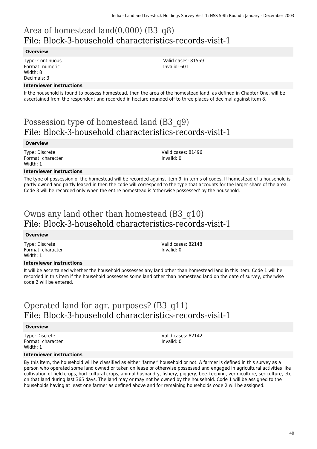# Area of homestead  $land(0.000)$  (B3 q8) File: Block-3-household characteristics-records-visit-1

#### **Overview**

Type: Continuous Format: numeric Width: 8 Decimals: 3

### **Interviewer instructions**

If the household is found to possess homestead, then the area of the homestead land, as defined in Chapter One, will be ascertained from the respondent and recorded in hectare rounded off to three places of decimal against item 8.

### Possession type of homestead land (B3\_q9) File: Block-3-household characteristics-records-visit-1

#### **Overview**

Type: Discrete Format: character Width: 1

Valid cases: 81496 Invalid: 0

Valid cases: 82148

Invalid: 0

Valid cases: 81559 Invalid: 601

#### **Interviewer instructions**

The type of possession of the homestead will be recorded against item 9, in terms of codes. If homestead of a household is partly owned and partly leased-in then the code will correspond to the type that accounts for the larger share of the area. Code 3 will be recorded only when the entire homestead is 'otherwise possessed' by the household.

### Owns any land other than homestead (B3\_q10) File: Block-3-household characteristics-records-visit-1

#### **Overview**

Type: Discrete Format: character Width: 1

#### **Interviewer instructions**

It will be ascertained whether the household possesses any land other than homestead land in this item. Code 1 will be recorded in this item if the household possesses some land other than homestead land on the date of survey, otherwise code 2 will be entered.

# Operated land for agr. purposes? (B3\_q11) File: Block-3-household characteristics-records-visit-1

#### **Overview**

Type: Discrete Format: character Width: 1

Valid cases: 82142 Invalid: 0

#### **Interviewer instructions**

By this item, the household will be classified as either 'farmer' household or not. A farmer is defined in this survey as a person who operated some land owned or taken on lease or otherwise possessed and engaged in agricultural activities like cultivation of field crops, horticultural crops, animal husbandry, fishery, piggery, bee-keeping, vermiculture, sericulture, etc. on that land during last 365 days. The land may or may not be owned by the household. Code 1 will be assigned to the households having at least one farmer as defined above and for remaining households code 2 will be assigned.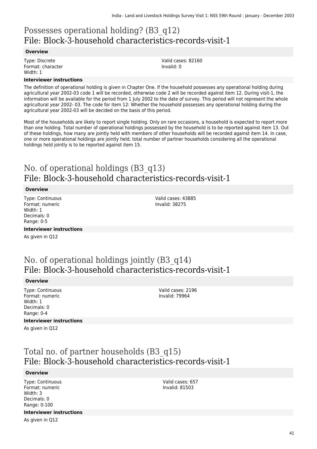Valid cases: 82160

Invalid: 0

# Possesses operational holding? (B3\_q12) File: Block-3-household characteristics-records-visit-1

#### **Overview**

Type: Discrete Format: character Width: 1

#### **Interviewer instructions**

The definition of operational holding is given in Chapter One. If the household possesses any operational holding during agricultural year 2002-03 code 1 will be recorded, otherwise code 2 will be recorded against item 12. During visit-1, the information will be available for the period from 1 July 2002 to the date of survey. This period will not represent the whole agricultural year 2002- 03. The code for item 12: Whether the household possesses any operational holding during the agricultural year 2002-03 will be decided on the basis of this period.

Most of the households are likely to report single holding. Only on rare occasions, a household is expected to report more than one holding. Total number of operational holdings possessed by the household is to be reported against item 13. Out of these holdings, how many are jointly held with members of other households will be recorded against item 14. In case, one or more operational holdings are jointly held, total number of partner households considering all the operational holdings held jointly is to be reported against item 15.

### No. of operational holdings (B3 q13) File: Block-3-household characteristics-records-visit-1

### **Overview**

Type: Continuous Format: numeric Width: 1 Decimals: 0 Range: 0-5

Valid cases: 43885 Invalid: 38275

### **Interviewer instructions**

As given in Q12

### No. of operational holdings jointly  $(B3q14)$ File: Block-3-household characteristics-records-visit-1

#### **Overview**

Type: Continuous Format: numeric Width<sub>'</sub> 1 Decimals: 0 Range: 0-4 **Interviewer instructions** Valid cases: 2196 Invalid: 79964

As given in Q12

### Total no. of partner households (B3\_q15) File: Block-3-household characteristics-records-visit-1

#### **Overview**

Type: Continuous Format: numeric Width: 3 Decimals: 0 Range: 0-100

Valid cases: 657 Invalid: 81503

**Interviewer instructions**

As given in O12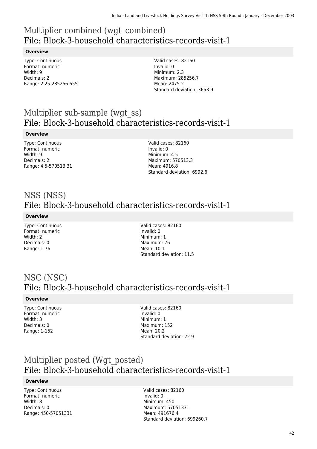# Multiplier combined (wgt\_combined) File: Block-3-household characteristics-records-visit-1

### **Overview**

Type: Continuous Format: numeric Width: 9 Decimals: 2 Range: 2.25-285256.655 Valid cases: 82160 Invalid: 0 Minimum: 2.3 Maximum: 285256.7 Mean: 2475.2 Standard deviation: 3653.9

### Multiplier sub-sample (wgt\_ss) File: Block-3-household characteristics-records-visit-1

### **Overview**

Type: Continuous Format: numeric Width: 9 Decimals: 2 Range: 4.5-570513.31 Valid cases: 82160 Invalid: 0 Minimum: 4.5 Maximum: 570513.3 Mean: 4916.8 Standard deviation: 6992.6

# NSS (NSS) File: Block-3-household characteristics-records-visit-1

### **Overview**

Type: Continuous Format: numeric Width: 2 Decimals: 0 Range: 1-76

Valid cases: 82160 Invalid: 0 Minimum: 1 Maximum: 76 Mean: 10.1 Standard deviation: 11.5

### NSC (NSC) File: Block-3-household characteristics-records-visit-1

### **Overview**

Type: Continuous Format: numeric Width: 3 Decimals: 0 Range: 1-152

Valid cases: 82160 Invalid: 0 Minimum: 1 Maximum: 152 Mean: 20.2 Standard deviation: 22.9

### Multiplier posted (Wgt\_posted) File: Block-3-household characteristics-records-visit-1

### **Overview**

Type: Continuous Format: numeric Width: 8 Decimals: 0 Range: 450-57051331 Valid cases: 82160 Invalid: 0 Minimum: 450 Maximum: 57051331 Mean: 491676.4 Standard deviation: 699260.7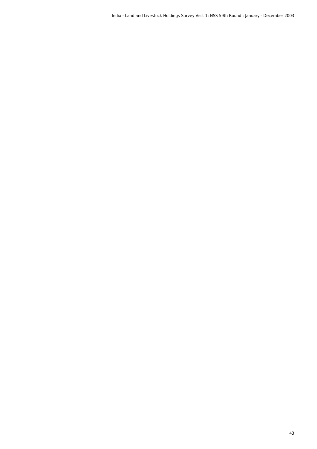India - Land and Livestock Holdings Survey Visit 1: NSS 59th Round : January - December 2003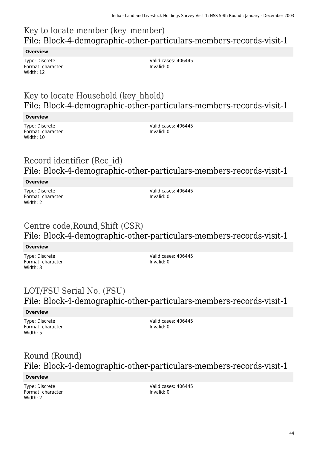# Key to locate member (key\_member) File: Block-4-demographic-other-particulars-members-records-visit-1

**Overview**

Type: Discrete Format: character Width: 12

Valid cases: 406445 Invalid: 0

# Key to locate Household (key\_hhold) File: Block-4-demographic-other-particulars-members-records-visit-1

### **Overview**

Type: Discrete Format: character Width: 10

Valid cases: 406445 Invalid: 0

### Record identifier (Rec\_id) File: Block-4-demographic-other-particulars-members-records-visit-1

### **Overview**

Type: Discrete Format: character Width: 2

Valid cases: 406445 Invalid: 0

### Centre code,Round,Shift (CSR) File: Block-4-demographic-other-particulars-members-records-visit-1

### **Overview**

Type: Discrete Format: character Width: 3

Valid cases: 406445 Invalid: 0

### LOT/FSU Serial No. (FSU) File: Block-4-demographic-other-particulars-members-records-visit-1

### **Overview**

Type: Discrete Format: character Width: 5

Valid cases: 406445 Invalid: 0

### Round (Round) File: Block-4-demographic-other-particulars-members-records-visit-1

### **Overview**

Type: Discrete Format: character Width: 2

Valid cases: 406445 Invalid: 0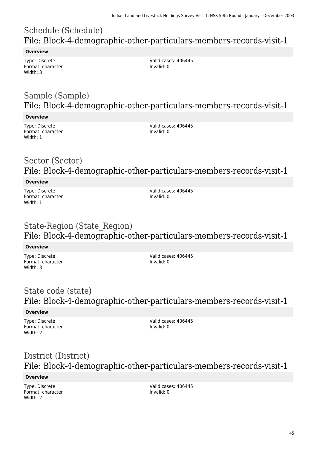# Schedule (Schedule) File: Block-4-demographic-other-particulars-members-records-visit-1

### **Overview**

Type: Discrete Format: character Width: 3

Valid cases: 406445 Invalid: 0

# Sample (Sample) File: Block-4-demographic-other-particulars-members-records-visit-1

### **Overview**

Type: Discrete Format: character Width: 1

Valid cases: 406445 Invalid: 0

### Sector (Sector) File: Block-4-demographic-other-particulars-members-records-visit-1

### **Overview**

Type: Discrete Format: character Width: 1

Valid cases: 406445 Invalid: 0

### State-Region (State\_Region) File: Block-4-demographic-other-particulars-members-records-visit-1

### **Overview**

Type: Discrete Format: character Width: 3

Valid cases: 406445 Invalid: 0

# State code (state) File: Block-4-demographic-other-particulars-members-records-visit-1

### **Overview**

Type: Discrete Format: character Width: 2

Valid cases: 406445 Invalid: 0

### District (District) File: Block-4-demographic-other-particulars-members-records-visit-1

### **Overview**

Type: Discrete Format: character Width: 2

Valid cases: 406445 Invalid: 0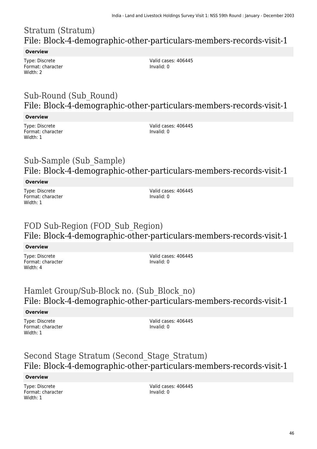# Stratum (Stratum) File: Block-4-demographic-other-particulars-members-records-visit-1

### **Overview**

Type: Discrete Format: character Width: 2

Valid cases: 406445 Invalid: 0

# Sub-Round (Sub\_Round) File: Block-4-demographic-other-particulars-members-records-visit-1

### **Overview**

Type: Discrete Format: character Width: 1

Valid cases: 406445 Invalid: 0

### Sub-Sample (Sub\_Sample) File: Block-4-demographic-other-particulars-members-records-visit-1

### **Overview**

Type: Discrete Format: character Width: 1

Valid cases: 406445 Invalid: 0

### FOD Sub-Region (FOD\_Sub\_Region) File: Block-4-demographic-other-particulars-members-records-visit-1

### **Overview**

Type: Discrete Format: character Width: 4

Valid cases: 406445 Invalid: 0

# Hamlet Group/Sub-Block no. (Sub\_Block\_no) File: Block-4-demographic-other-particulars-members-records-visit-1

### **Overview**

Type: Discrete Format: character Width: 1

Valid cases: 406445 Invalid: 0

### Second Stage Stratum (Second\_Stage\_Stratum) File: Block-4-demographic-other-particulars-members-records-visit-1

### **Overview**

Type: Discrete Format: character Width: 1

Valid cases: 406445 Invalid: 0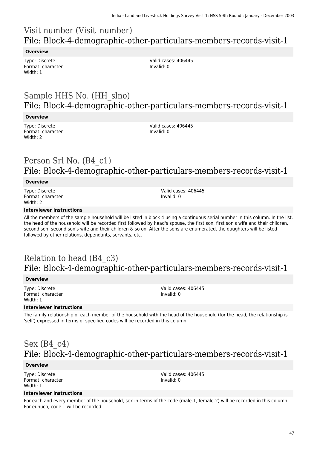# Visit number (Visit\_number) File: Block-4-demographic-other-particulars-members-records-visit-1

### **Overview**

Type: Discrete Format: character Width: 1

Valid cases: 406445 Invalid: 0

### Sample HHS No. (HH\_slno) File: Block-4-demographic-other-particulars-members-records-visit-1

### **Overview**

Type: Discrete Format: character Width: 2

Valid cases: 406445 Invalid: 0

### Person Srl No. (B4\_c1) File: Block-4-demographic-other-particulars-members-records-visit-1

### **Overview**

Type: Discrete Format: character Width: 2

Valid cases: 406445 Invalid: 0

### **Interviewer instructions**

All the members of the sample household will be listed in block 4 using a continuous serial number in this column. In the list, the head of the household will be recorded first followed by head's spouse, the first son, first son's wife and their children, second son, second son's wife and their children & so on. After the sons are enumerated, the daughters will be listed followed by other relations, dependants, servants, etc.

# Relation to head (B4\_c3) File: Block-4-demographic-other-particulars-members-records-visit-1

#### **Overview**

Type: Discrete Format: character Width: 1

Valid cases: 406445 Invalid: 0

### **Interviewer instructions**

The family relationship of each member of the household with the head of the household (for the head, the relationship is 'self') expressed in terms of specified codes will be recorded in this column.

# Sex (B4\_c4) File: Block-4-demographic-other-particulars-members-records-visit-1

#### **Overview**

Type: Discrete Format: character Width: 1

Valid cases: 406445 Invalid: 0

#### **Interviewer instructions**

For each and every member of the household, sex in terms of the code (male-1, female-2) will be recorded in this column. For eunuch, code 1 will be recorded.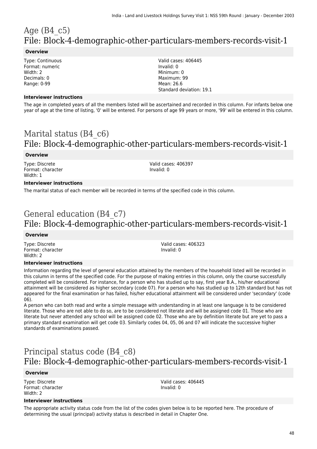# Age (B4\_c5) File: Block-4-demographic-other-particulars-members-records-visit-1

### **Overview**

Type: Continuous Format: numeric Width: 2 Decimals: 0 Range: 0-99

#### **Interviewer instructions**

Invalid: 0 Minimum: 0 Maximum: 99 Mean: 26.6 Standard deviation: 19.1

Valid cases: 406445

The age in completed years of all the members listed will be ascertained and recorded in this column. For infants below one year of age at the time of listing, '0' will be entered. For persons of age 99 years or more, '99' will be entered in this column.

# Marital status (B4\_c6) File: Block-4-demographic-other-particulars-members-records-visit-1

### **Overview**

Type: Discrete Format: character Width: 1

Valid cases: 406397 Invalid: 0

Valid cases: 406323

Invalid: 0

### **Interviewer instructions**

The marital status of each member will be recorded in terms of the specified code in this column.

### General education (B4\_c7) File: Block-4-demographic-other-particulars-members-records-visit-1

#### **Overview**

Type: Discrete Format: character Width: 2

#### **Interviewer instructions**

Information regarding the level of general education attained by the members of the household listed will be recorded in this column in terms of the specified code. For the purpose of making entries in this column, only the course successfully completed will be considered. For instance, for a person who has studied up to say, first year B.A., his/her educational attainment will be considered as higher secondary (code 07). For a person who has studied up to 12th standard but has not appeared for the final examination or has failed, his/her educational attainment will be considered under 'secondary' (code 06).

A person who can both read and write a simple message with understanding in at least one language is to be considered literate. Those who are not able to do so, are to be considered not literate and will be assigned code 01. Those who are literate but never attended any school will be assigned code 02. Those who are by definition literate but are yet to pass a primary standard examination will get code 03. Similarly codes 04, 05, 06 and 07 will indicate the successive higher standards of examinations passed.

# Principal status code (B4\_c8) File: Block-4-demographic-other-particulars-members-records-visit-1

#### **Overview**

Type: Discrete Format: character Width: 2

Valid cases: 406445 Invalid: 0

#### **Interviewer instructions**

The appropriate activity status code from the list of the codes given below is to be reported here. The procedure of determining the usual (principal) activity status is described in detail in Chapter One.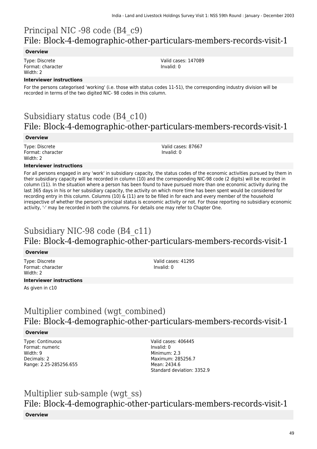# Principal NIC -98 code (B4\_c9) File: Block-4-demographic-other-particulars-members-records-visit-1

### **Overview**

Type: Discrete Format: character Width: 2

#### **Interviewer instructions**

For the persons categorised 'working' (i.e. those with status codes 11-51), the corresponding industry division will be recorded in terms of the two digited NIC- 98 codes in this column.

# Subsidiary status code (B4\_c10) File: Block-4-demographic-other-particulars-members-records-visit-1

### **Overview**

Type: Discrete Format: character Width: 2

Valid cases: 87667 Invalid: 0

Valid cases: 147089

Invalid: 0

### **Interviewer instructions**

For all persons engaged in any 'work' in subsidiary capacity, the status codes of the economic activities pursued by them in their subsidiary capacity will be recorded in column (10) and the corresponding NIC-98 code (2 digits) will be recorded in column (11). In the situation where a person has been found to have pursued more than one economic activity during the last 365 days in his or her subsidiary capacity, the activity on which more time has been spent would be considered for recording entry in this column. Columns (10) & (11) are to be filled in for each and every member of the household irrespective of whether the person's principal status is economic activity or not. For those reporting no subsidiary economic activity, '-' may be recorded in both the columns. For details one may refer to Chapter One.

# Subsidiary NIC-98 code (B4\_c11) File: Block-4-demographic-other-particulars-members-records-visit-1

### **Overview**

Type: Discrete Format: character Width: 2

Valid cases: 41295 Invalid: 0

### **Interviewer instructions**

As given in c10

# Multiplier combined (wgt\_combined) File: Block-4-demographic-other-particulars-members-records-visit-1

### **Overview**

Type: Continuous Format: numeric Width: 9 Decimals: 2 Range: 2.25-285256.655

Valid cases: 406445 Invalid: 0 Minimum: 2.3 Maximum: 285256.7 Mean: 2434.6 Standard deviation: 3352.9

### Multiplier sub-sample (wgt\_ss) File: Block-4-demographic-other-particulars-members-records-visit-1

#### **Overview**

49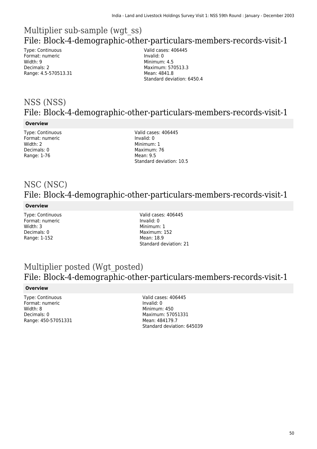# Multiplier sub-sample (wgt\_ss) File: Block-4-demographic-other-particulars-members-records-visit-1

Type: Continuous Format: numeric Width: 9 Decimals: 2 Range: 4.5-570513.31 Valid cases: 406445 Invalid: 0 Minimum: 4.5 Maximum: 570513.3 Mean: 4841.8 Standard deviation: 6450.4

# NSS (NSS) File: Block-4-demographic-other-particulars-members-records-visit-1

### **Overview**

Type: Continuous Format: numeric Width: 2 Decimals: 0 Range: 1-76

Valid cases: 406445 Invalid: 0 Minimum: 1 Maximum: 76 Mean: 9.5 Standard deviation: 10.5

# NSC (NSC) File: Block-4-demographic-other-particulars-members-records-visit-1

### **Overview**

Type: Continuous Format: numeric Width: 3 Decimals: 0 Range: 1-152

Valid cases: 406445 Invalid: 0 Minimum: 1 Maximum: 152 Mean: 18.9 Standard deviation: 21

### Multiplier posted (Wgt\_posted) File: Block-4-demographic-other-particulars-members-records-visit-1

#### **Overview**

Type: Continuous Format: numeric Width: 8 Decimals: 0 Range: 450-57051331

Valid cases: 406445 Invalid: 0 Minimum: 450 Maximum: 57051331 Mean: 484179.7 Standard deviation: 645039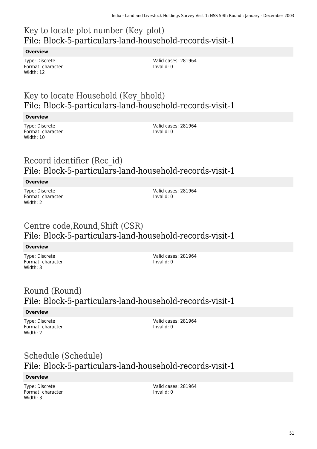# Key to locate plot number (Key\_plot) File: Block-5-particulars-land-household-records-visit-1

**Overview**

Type: Discrete Format: character Width: 12

Valid cases: 281964 Invalid: 0

# Key to locate Household (Key\_hhold) File: Block-5-particulars-land-household-records-visit-1

### **Overview**

Type: Discrete Format: character Width: 10

Valid cases: 281964 Invalid: 0

# Record identifier (Rec\_id) File: Block-5-particulars-land-household-records-visit-1

### **Overview**

Type: Discrete Format: character Width: 2

Valid cases: 281964 Invalid: 0

### Centre code,Round,Shift (CSR) File: Block-5-particulars-land-household-records-visit-1

### **Overview**

Type: Discrete Format: character Width: 3

Valid cases: 281964 Invalid: 0

### Round (Round) File: Block-5-particulars-land-household-records-visit-1

### **Overview**

Type: Discrete Format: character Width: 2

Valid cases: 281964 Invalid: 0

# Schedule (Schedule) File: Block-5-particulars-land-household-records-visit-1

### **Overview**

Type: Discrete Format: character Width: 3

Valid cases: 281964 Invalid: 0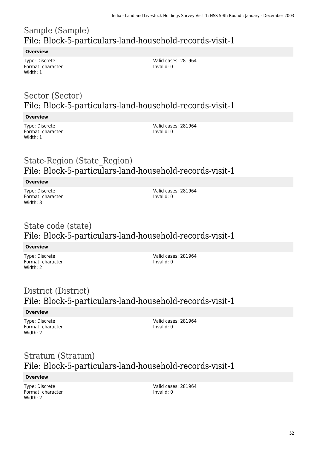# Sample (Sample) File: Block-5-particulars-land-household-records-visit-1

### **Overview**

Type: Discrete Format: character Width: 1

Valid cases: 281964 Invalid: 0

# Sector (Sector) File: Block-5-particulars-land-household-records-visit-1

### **Overview**

Type: Discrete Format: character Width: 1

Valid cases: 281964 Invalid: 0

# State-Region (State\_Region) File: Block-5-particulars-land-household-records-visit-1

### **Overview**

Type: Discrete Format: character Width: 3

Valid cases: 281964 Invalid: 0

### State code (state) File: Block-5-particulars-land-household-records-visit-1

### **Overview**

Type: Discrete Format: character Width: 2

Valid cases: 281964 Invalid: 0

# District (District) File: Block-5-particulars-land-household-records-visit-1

### **Overview**

Type: Discrete Format: character Width: 2

Valid cases: 281964 Invalid: 0

# Stratum (Stratum) File: Block-5-particulars-land-household-records-visit-1

### **Overview**

Type: Discrete Format: character Width: 2

Valid cases: 281964 Invalid: 0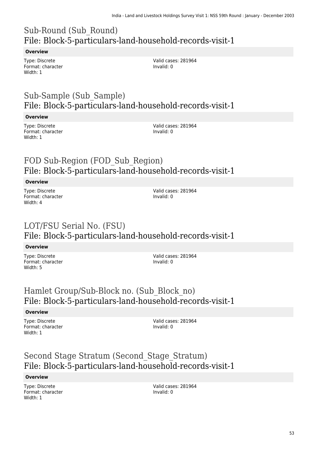# Sub-Round (Sub\_Round) File: Block-5-particulars-land-household-records-visit-1

### **Overview**

Type: Discrete Format: character Width: 1

Valid cases: 281964 Invalid: 0

# Sub-Sample (Sub\_Sample) File: Block-5-particulars-land-household-records-visit-1

### **Overview**

Type: Discrete Format: character Width: 1

Valid cases: 281964 Invalid: 0

# FOD Sub-Region (FOD\_Sub\_Region) File: Block-5-particulars-land-household-records-visit-1

### **Overview**

Type: Discrete Format: character Width: 4

Valid cases: 281964 Invalid: 0

### LOT/FSU Serial No. (FSU) File: Block-5-particulars-land-household-records-visit-1

### **Overview**

Type: Discrete Format: character Width: 5

Valid cases: 281964 Invalid: 0

### Hamlet Group/Sub-Block no. (Sub\_Block\_no) File: Block-5-particulars-land-household-records-visit-1

### **Overview**

Type: Discrete Format: character Width: 1

Valid cases: 281964 Invalid: 0

### Second Stage Stratum (Second\_Stage\_Stratum) File: Block-5-particulars-land-household-records-visit-1

### **Overview**

Type: Discrete Format: character Width: 1

Valid cases: 281964 Invalid: 0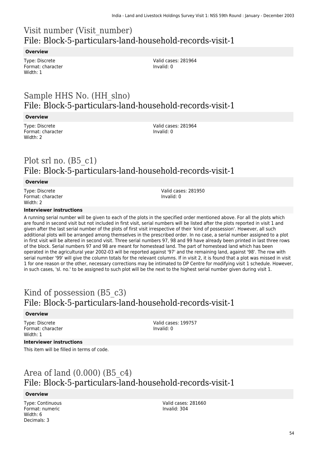# Visit number (Visit\_number) File: Block-5-particulars-land-household-records-visit-1

### **Overview**

Type: Discrete Format: character Width: 1

Valid cases: 281964 Invalid: 0

# Sample HHS No. (HH\_slno) File: Block-5-particulars-land-household-records-visit-1

### **Overview**

Type: Discrete Format: character Width: 2

Valid cases: 281964 Invalid: 0

# Plot srl no. (B5\_c1) File: Block-5-particulars-land-household-records-visit-1

### **Overview**

Type: Discrete Format: character Width: 2

Valid cases: 281950 Invalid: 0

### **Interviewer instructions**

A running serial number will be given to each of the plots in the specified order mentioned above. For all the plots which are found in second visit but not included in first visit, serial numbers will be listed after the plots reported in visit 1 and given after the last serial number of the plots of first visit irrespective of their 'kind of possession'. However, all such additional plots will be arranged among themselves in the prescribed order. In no case, a serial number assigned to a plot in first visit will be altered in second visit. Three serial numbers 97, 98 and 99 have already been printed in last three rows of the block. Serial numbers 97 and 98 are meant for homestead land. The part of homestead land which has been operated in the agricultural year 2002-03 will be reported against '97' and the remaining land, against '98'. The row with serial number '99' will give the column totals for the relevant columns. If in visit 2, it is found that a plot was missed in visit 1 for one reason or the other, necessary corrections may be intimated to DP Centre for modifying visit 1 schedule. However, in such cases, 'sl. no.' to be assigned to such plot will be the next to the highest serial number given during visit 1.

# Kind of possession (B5\_c3) File: Block-5-particulars-land-household-records-visit-1

#### **Overview**

Type: Discrete Format: character Width: 1

Valid cases: 199757 Invalid: 0

# **Interviewer instructions**

This item will be filled in terms of code.

# Area of land  $(0.000)$  (B5 $\;$ c4) File: Block-5-particulars-land-household-records-visit-1

#### **Overview**

Type: Continuous Format: numeric Width: 6 Decimals: 3

Valid cases: 281660 Invalid: 304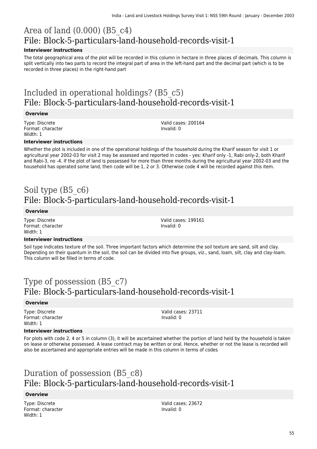### Area of land (0.000) (B5\_c4) File: Block-5-particulars-land-household-records-visit-1 **Interviewer instructions**

The total geographical area of the plot will be recorded in this column in hectare in three places of decimals. This column is split vertically into two parts to record the integral part of area in the left-hand part and the decimal part (which is to be recorded in three places) in the right-hand part

# Included in operational holdings? (B5\_c5) File: Block-5-particulars-land-household-records-visit-1

### **Overview**

Type: Discrete Format: character Width: 1

Valid cases: 200164 Invalid: 0

### **Interviewer instructions**

Whether the plot is included in one of the operational holdings of the household during the Kharif season for visit 1 or agricultural year 2002-03 for visit 2 may be assessed and reported in codes - yes: Kharif only -1, Rabi only-2, both Kharif and Rabi-3, no -4. If the plot of land is possessed for more than three months during the agricultural year 2002-03 and the household has operated some land, then code will be 1, 2 or 3. Otherwise code 4 will be recorded against this item.

# Soil type (B5\_c6) File: Block-5-particulars-land-household-records-visit-1

### **Overview**

Type: Discrete Format: character Width: 1

Valid cases: 199161 Invalid: 0

### **Interviewer instructions**

Soil type indicates texture of the soil. Three important factors which determine the soil texture are sand, silt and clay. Depending on their quantum in the soil, the soil can be divided into five groups, viz., sand, loam, silt, clay and clay-loam. This column will be filled in terms of code.

### Type of possession (B5\_c7) File: Block-5-particulars-land-household-records-visit-1

#### **Overview**

Type: Discrete Format: character Width: 1

Valid cases: 23711 Invalid: 0

#### **Interviewer instructions**

For plots with code 2, 4 or 5 in column (3), it will be ascertained whether the portion of land held by the household is taken on lease or otherwise possessed. A lease contract may be written or oral. Hence, whether or not the lease is recorded will also be ascertained and appropriate entries will be made in this column in terms of codes

# Duration of possession (B5\_c8) File: Block-5-particulars-land-household-records-visit-1

#### **Overview**

Type: Discrete Format: character Width: 1

Valid cases: 23672 Invalid: 0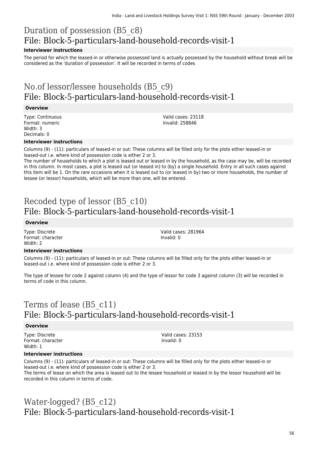### Duration of possession (B5\_c8) File: Block-5-particulars-land-household-records-visit-1 **Interviewer instructions**

### The period for which the leased-in or otherwise possessed land is actually possessed by the household without break will be

considered as the 'duration of possession'. It will be recorded in terms of codes

# No.of lessor/lessee households (B5\_c9) File: Block-5-particulars-land-household-records-visit-1

### **Overview**

Type: Continuous Format: numeric Width: 3 Decimals: 0

### Valid cases: 23118 Invalid: 258846

### **Interviewer instructions**

Columns (9) - (11): particulars of leased-in or out: These columns will be filled only for the plots either leased-in or leased-out i.e. where kind of possession code is either 2 or 3.

The number of households to which a plot is leased out or leased in by the household, as the case may be, will be recorded in this column. In most cases, a plot is leased out (or leased in) to (by) a single household. Entry in all such cases against this item will be 1. On the rare occasions when it is leased out to (or leased in by) two or more households, the number of lessee (or lessor) households, which will be more than one, will be entered.

# Recoded type of lessor (B5\_c10) File: Block-5-particulars-land-household-records-visit-1

**Overview**

Type: Discrete Format: character Width: 2

Valid cases: 281964 Invalid: 0

### **Interviewer instructions**

Columns (9) - (11): particulars of leased-in or out: These columns will be filled only for the plots either leased-in or leased-out i.e. where kind of possession code is either 2 or 3.

The type of lessee for code 2 against column (4) and the type of lessor for code 3 against column (3) will be recorded in terms of code in this column.

# Terms of lease (B5\_c11) File: Block-5-particulars-land-household-records-visit-1

### **Overview**

Type: Discrete Format: character Width: 1

Valid cases: 23153 Invalid: 0

### **Interviewer instructions**

Columns (9) - (11): particulars of leased-in or out: These columns will be filled only for the plots either leased-in or leased-out i.e. where kind of possession code is either 2 or 3.

The terms of lease on which the area is leased out to the lessee household or leased in by the lessor household will be recorded in this column in terms of code.

# Water-logged? (B5\_c12) File: Block-5-particulars-land-household-records-visit-1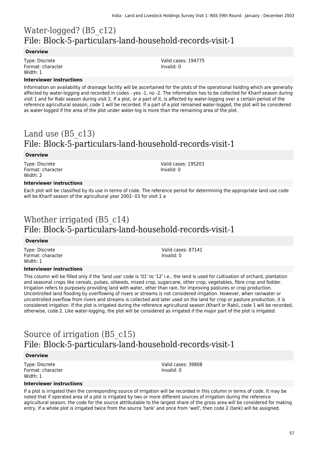# Water-logged? (B5\_c12) File: Block-5-particulars-land-household-records-visit-1

#### **Overview**

Type: Discrete Format: character Width: 1

#### **Interviewer instructions**

Information on availability of drainage facility will be ascertained for the plots of the operational holding which are generally affected by water-logging and recorded in codes - yes -1, no -2. The information has to be collected for Kharif season during visit 1 and for Rabi season during visit 2. If a plot, or a part of it, is affected by water-logging over a certain period of the reference agricultural season, code 1 will be recorded. If a part of a plot remained water-logged, the plot will be considered as water-logged if the area of the plot under water-log is more than the remaining area of the plot.

# Land use (B5 c13) File: Block-5-particulars-land-household-records-visit-1

#### **Overview**

Type: Discrete Format: character Width: 2

Valid cases: 195203 Invalid: 0

Valid cases: 87141

Invalid: 0

### **Interviewer instructions**

Each plot will be classified by its use in terms of code. The reference period for determining the appropriate land use code will be Kharif season of the agricultural year 2002- 03 for visit 1 a

# Whether irrigated (B5 c14) File: Block-5-particulars-land-household-records-visit-1

#### **Overview**

Type: Discrete Format: character Width: 1

#### **Interviewer instructions**

This column will be filled only if the 'land use' code is '01' to '12' i.e., the land is used for cultivation of orchard, plantation and seasonal crops like cereals, pulses, oilseeds, mixed crop, sugarcane, other crop, vegetables, fibre crop and fodder. Irrigation refers to purposely providing land with water, other than rain, for improving pastures or crop production. Uncontrolled land flooding by overflowing of rivers or streams is not considered irrigation. However, when rainwater or uncontrolled overflow from rivers and streams is collected and later used on the land for crop or pasture production, it is considered irrigation. If the plot is irrigated during the reference agricultural season (Kharif or Rabi), code 1 will be recorded, otherwise, code 2. Like water-logging, the plot will be considered as irrigated if the major part of the plot is irrigated.

# Source of irrigation (B5\_c15) File: Block-5-particulars-land-household-records-visit-1

#### **Overview**

Type: Discrete Format: character Width: 1

Valid cases: 39808 Invalid: 0

#### **Interviewer instructions**

If a plot is irrigated then the corresponding source of irrigation will be recorded in this column in terms of code. It may be noted that if operated area of a plot is irrigated by two or more different sources of irrigation during the reference agricultural season, the code for the source attributable to the largest share of the gross area will be considered for making entry. If a whole plot is irrigated twice from the source 'tank' and once from 'well', then code 2 (tank) will be assigned.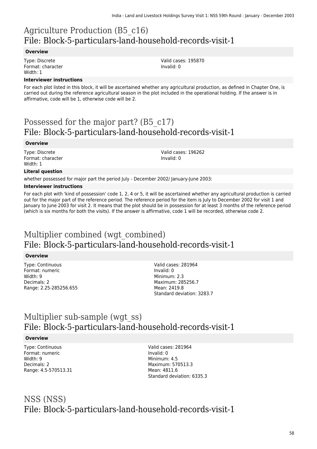# Agriculture Production (B5\_c16) File: Block-5-particulars-land-household-records-visit-1

#### **Overview**

Type: Discrete Format: character Width: 1

#### **Interviewer instructions**

For each plot listed in this block, it will be ascertained whether any agricultural production, as defined in Chapter One, is carried out during the reference agricultural season in the plot included in the operational holding. If the answer is in affirmative, code will be 1, otherwise code will be 2.

### Possessed for the major part? (B5\_c17) File: Block-5-particulars-land-household-records-visit-1

#### **Overview**

Type: Discrete Format: character Width: 1

Valid cases: 196262 Invalid: 0

Valid cases: 195870

Invalid: 0

### **Literal question**

whether possessed for major part the period July - December 2002/ January-June 2003:

#### **Interviewer instructions**

For each plot with 'kind of possession' code 1, 2, 4 or 5, it will be ascertained whether any agricultural production is carried out for the major part of the reference period. The reference period for the item is July to December 2002 for visit 1 and January to June 2003 for visit 2. It means that the plot should be in possession for at least 3 months of the reference period (which is six months for both the visits). If the answer is affirmative, code 1 will be recorded, otherwise code 2.

### Multiplier combined (wgt\_combined) File: Block-5-particulars-land-household-records-visit-1

#### **Overview**

Type: Continuous Format: numeric Width: 9 Decimals: 2 Range: 2.25-285256.655 Valid cases: 281964 Invalid: 0 Minimum: 2.3 Maximum: 285256.7 Mean: 2419.8 Standard deviation: 3283.7

### Multiplier sub-sample (wgt ss) File: Block-5-particulars-land-household-records-visit-1

#### **Overview**

Type: Continuous Format: numeric Width: 9 Decimals: 2 Range: 4.5-570513.31 Valid cases: 281964 Invalid: 0 Minimum: 4.5 Maximum: 570513.3 Mean: 4811.6 Standard deviation: 6335.3

### NSS (NSS) File: Block-5-particulars-land-household-records-visit-1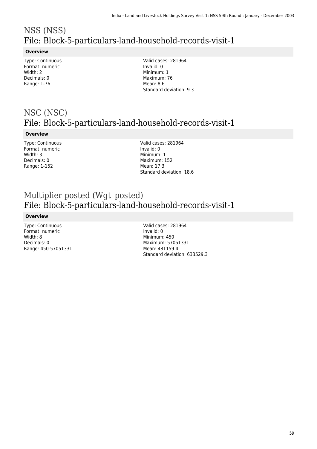# NSS (NSS) File: Block-5-particulars-land-household-records-visit-1

### **Overview**

Type: Continuous Format: numeric Width: 2 Decimals: 0 Range: 1-76

Valid cases: 281964 Invalid: 0 Minimum: 1 Maximum: 76 Mean: 8.6 Standard deviation: 9.3

# NSC (NSC) File: Block-5-particulars-land-household-records-visit-1

### **Overview**

Type: Continuous Format: numeric Width: 3 Decimals: 0 Range: 1-152

Valid cases: 281964 Invalid: 0 Minimum: 1 Maximum: 152 Mean: 17.3 Standard deviation: 18.6

### Multiplier posted (Wgt\_posted) File: Block-5-particulars-land-household-records-visit-1

### **Overview**

Type: Continuous Format: numeric Width: 8 Decimals: 0 Range: 450-57051331 Valid cases: 281964 Invalid: 0 Minimum: 450 Maximum: 57051331 Mean: 481159.4 Standard deviation: 633529.3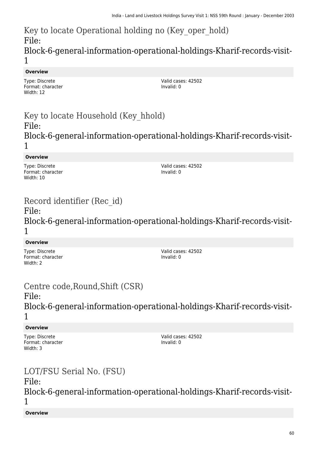### Key to locate Operational holding no (Key\_oper\_hold) File: Block-6-general-information-operational-holdings-Kharif-records-visit-1

### **Overview**

Type: Discrete Format: character Width: 12

Valid cases: 42502 Invalid: 0

# Key to locate Household (Key\_hhold) File: Block-6-general-information-operational-holdings-Kharif-records-visit-1

### **Overview**

Type: Discrete Format: character Width: 10

Valid cases: 42502 Invalid: 0

### Record identifier (Rec\_id)

### File: Block-6-general-information-operational-holdings-Kharif-records-visit-1

### **Overview**

Type: Discrete Format: character Width: 2

Valid cases: 42502 Invalid: 0

### Centre code,Round,Shift (CSR) File: Block-6-general-information-operational-holdings-Kharif-records-visit-1

### **Overview**

Type: Discrete Format: character Width: 3

Valid cases: 42502 Invalid: 0

# LOT/FSU Serial No. (FSU) File: Block-6-general-information-operational-holdings-Kharif-records-visit-1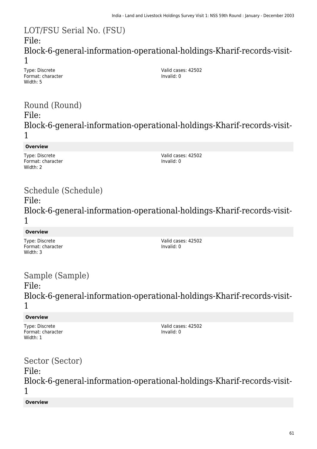### LOT/FSU Serial No. (FSU) File: Block-6-general-information-operational-holdings-Kharif-records-visit-1

Type: Discrete Format: character Width: 5

Valid cases: 42502 Invalid: 0

# Round (Round) File: Block-6-general-information-operational-holdings-Kharif-records-visit-1

### **Overview**

Type: Discrete Format: character Width: 2

Valid cases: 42502 Invalid: 0

### Schedule (Schedule) File:

Block-6-general-information-operational-holdings-Kharif-records-visit-1

### **Overview**

Type: Discrete Format: character Width: 3

Valid cases: 42502 Invalid: 0

### Sample (Sample) File: Block-6-general-information-operational-holdings-Kharif-records-visit-1

### **Overview**

Type: Discrete Format: character Width: 1

Valid cases: 42502 Invalid: 0

Sector (Sector) File: Block-6-general-information-operational-holdings-Kharif-records-visit-1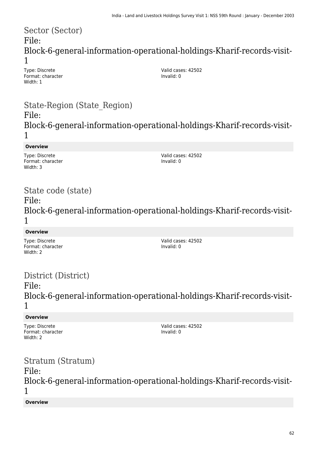### Sector (Sector) File: Block-6-general-information-operational-holdings-Kharif-records-visit-1

Type: Discrete Format: character Width: 1

Valid cases: 42502 Invalid: 0

### State-Region (State\_Region) File: Block-6-general-information-operational-holdings-Kharif-records-visit-1

### **Overview**

Type: Discrete Format: character Width: 3

Valid cases: 42502 Invalid: 0

# State code (state)

File: Block-6-general-information-operational-holdings-Kharif-records-visit-1

### **Overview**

Type: Discrete Format: character Width: 2

Valid cases: 42502 Invalid: 0

### District (District) File: Block-6-general-information-operational-holdings-Kharif-records-visit-1

### **Overview**

Type: Discrete Format: character Width: 2

Valid cases: 42502 Invalid: 0

Stratum (Stratum) File: Block-6-general-information-operational-holdings-Kharif-records-visit-1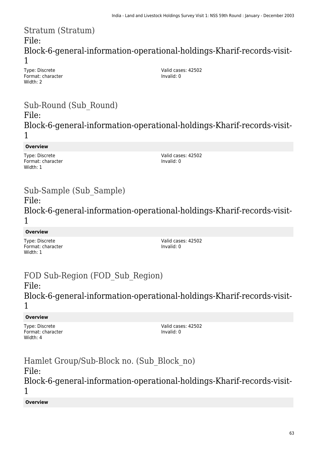### Stratum (Stratum) File: Block-6-general-information-operational-holdings-Kharif-records-visit-1

Type: Discrete Format: character Width: 2

Valid cases: 42502 Invalid: 0

### Sub-Round (Sub\_Round) File: Block-6-general-information-operational-holdings-Kharif-records-visit-1

### **Overview**

Type: Discrete Format: character Width: 1

Valid cases: 42502 Invalid: 0

### Sub-Sample (Sub\_Sample) File: Block-6-general-information-operational-holdings-Kharif-records-visit-1

**Overview**

Type: Discrete Format: character Width: 1

Valid cases: 42502 Invalid: 0

### FOD Sub-Region (FOD\_Sub\_Region) File: Block-6-general-information-operational-holdings-Kharif-records-visit-1

### **Overview**

Type: Discrete Format: character Width: 4

Valid cases: 42502 Invalid: 0

Hamlet Group/Sub-Block no. (Sub\_Block\_no) File: Block-6-general-information-operational-holdings-Kharif-records-visit-1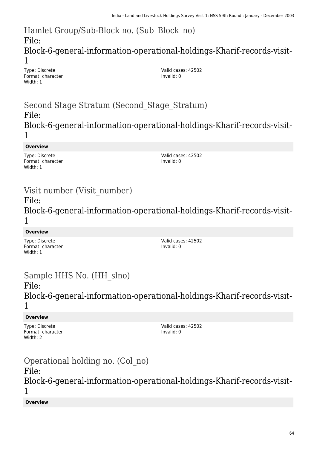### Hamlet Group/Sub-Block no. (Sub\_Block\_no) File: Block-6-general-information-operational-holdings-Kharif-records-visit-1

Type: Discrete Format: character Width: 1

Valid cases: 42502 Invalid: 0

Second Stage Stratum (Second\_Stage\_Stratum) File: Block-6-general-information-operational-holdings-Kharif-records-visit-1

### **Overview**

Type: Discrete Format: character Width: 1

Valid cases: 42502 Invalid: 0

### Visit number (Visit\_number)

File: Block-6-general-information-operational-holdings-Kharif-records-visit-1

**Overview**

Type: Discrete Format: character Width: 1

Valid cases: 42502 Invalid: 0

# Sample HHS No. (HH\_slno)

File: Block-6-general-information-operational-holdings-Kharif-records-visit-1

### **Overview**

Type: Discrete Format: character Width: 2

Valid cases: 42502 Invalid: 0

Operational holding no. (Col\_no) File: Block-6-general-information-operational-holdings-Kharif-records-visit-1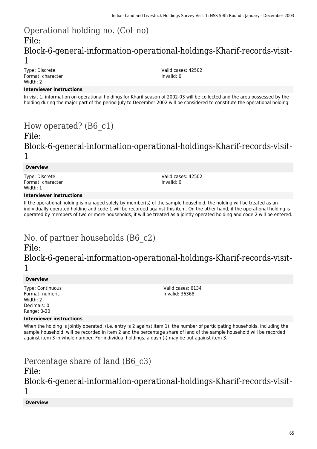### Operational holding no. (Col\_no) File: Block-6-general-information-operational-holdings-Kharif-records-visit-1

Type: Discrete Format: character Width: 2

Valid cases: 42502 Invalid: 0

### **Interviewer instructions**

In visit 1, information on operational holdings for Kharif season of 2002-03 will be collected and the area possessed by the holding during the major part of the period July to December 2002 will be considered to constitute the operational holding.

### How operated? (B6\_c1)

File: Block-6-general-information-operational-holdings-Kharif-records-visit-1

#### **Overview**

Type: Discrete Format: character Width: 1

Valid cases: 42502 Invalid: 0

Valid cases: 6134 Invalid: 36368

#### **Interviewer instructions**

If the operational holding is managed solely by member(s) of the sample household, the holding will be treated as an individually operated holding and code 1 will be recorded against this item. On the other hand, if the operational holding is operated by members of two or more households, it will be treated as a jointly operated holding and code 2 will be entered.

### No. of partner households (B6\_c2) File: Block-6-general-information-operational-holdings-Kharif-records-visit-1

### **Overview**

Type: Continuous Format: numeric Width: 2 Decimals: 0 Range: 0-20

### **Interviewer instructions**

When the holding is jointly operated, (i.e. entry is 2 against item 1), the number of participating households, including the sample household, will be recorded in item 2 and the percentage share of land of the sample household will be recorded against item 3 in whole number. For individual holdings, a dash (-) may be put against item 3.

Percentage share of land (B6\_c3) File: Block-6-general-information-operational-holdings-Kharif-records-visit-1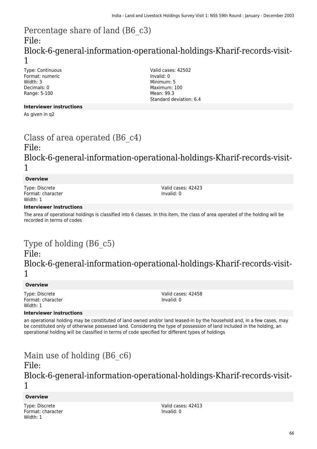### Percentage share of land (B6\_c3) File: Block-6-general-information-operational-holdings-Kharif-records-visit-1

Type: Continuous Format: numeric Width: 3 Decimals: 0 Range: 5-100

Valid cases: 42502 Invalid: 0 Minimum: 5 Maximum: 100 Mean: 99.3 Standard deviation: 6.4

### **Interviewer instructions**

As given in q2

### Class of area operated (B6\_c4) File:

### Block-6-general-information-operational-holdings-Kharif-records-visit-1

### **Overview**

Type: Discrete Format: character Width: 1

Valid cases: 42423 Invalid: 0

### **Interviewer instructions**

The area of operational holdings is classified into 6 classes. In this item, the class of area operated of the holding will be recorded in terms of codes

# Type of holding (B6\_c5)

### File: Block-6-general-information-operational-holdings-Kharif-records-visit-1

### **Overview**

Type: Discrete Format: character Width: 1

Valid cases: 42458 Invalid: 0

### **Interviewer instructions**

an operational holding may be constituted of land owned and/or land leased-in by the household and, in a few cases, may be constituted only of otherwise possessed land. Considering the type of possession of land included in the holding, an operational holding will be classified in terms of code specified for different types of holdings

# Main use of holding (B6\_c6)

File: Block-6-general-information-operational-holdings-Kharif-records-visit-1

### **Overview**

Type: Discrete Format: character Width: 1

Valid cases: 42413 Invalid: 0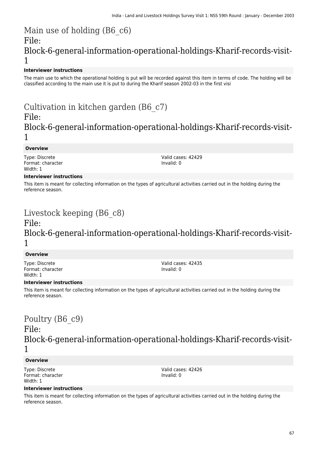# Main use of holding (B6\_c6) File: Block-6-general-information-operational-holdings-Kharif-records-visit-1

### **Interviewer instructions**

The main use to which the operational holding is put will be recorded against this item in terms of code. The holding will be classified according to the main use it is put to during the Kharif season 2002-03 in the first visi

# Cultivation in kitchen garden (B6\_c7) File: Block-6-general-information-operational-holdings-Kharif-records-visit-1

### **Overview**

Type: Discrete Format: character Width: 1

Valid cases: 42429 Invalid: 0

### **Interviewer instructions**

This item is meant for collecting information on the types of agricultural activities carried out in the holding during the reference season.

# Livestock keeping (B6\_c8)

### File: Block-6-general-information-operational-holdings-Kharif-records-visit-1

### **Overview**

Type: Discrete Format: character Width: 1

Valid cases: 42435 Invalid: 0

### **Interviewer instructions**

This item is meant for collecting information on the types of agricultural activities carried out in the holding during the reference season.

### Poultry (B6\_c9)

File:

Block-6-general-information-operational-holdings-Kharif-records-visit-1

### **Overview**

Type: Discrete Format: character Width: 1

Valid cases: 42426 Invalid: 0

### **Interviewer instructions**

This item is meant for collecting information on the types of agricultural activities carried out in the holding during the reference season.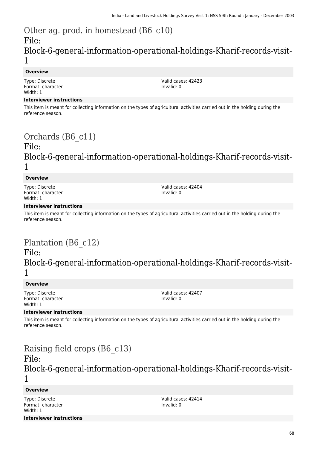# Other ag. prod. in homestead (B6\_c10) File: Block-6-general-information-operational-holdings-Kharif-records-visit-1

### **Overview**

Type: Discrete Format: character Width: 1

#### **Interviewer instructions**

This item is meant for collecting information on the types of agricultural activities carried out in the holding during the reference season.

# Orchards (B6\_c11) File: Block-6-general-information-operational-holdings-Kharif-records-visit-1

### **Overview**

Type: Discrete Format: character Width: 1

Valid cases: 42404 Invalid: 0

Valid cases: 42423

Invalid: 0

### **Interviewer instructions**

This item is meant for collecting information on the types of agricultural activities carried out in the holding during the reference season.

# Plantation (B6\_c12)

### File:

Block-6-general-information-operational-holdings-Kharif-records-visit-1

### **Overview**

Type: Discrete Format: character Width: 1

Valid cases: 42407 Invalid: 0

### **Interviewer instructions**

This item is meant for collecting information on the types of agricultural activities carried out in the holding during the reference season.

### Raising field crops (B6\_c13) File: Block-6-general-information-operational-holdings-Kharif-records-visit-1

### **Overview**

Type: Discrete Format: character Width: 1 **Interviewer instructions**

Valid cases: 42414 Invalid: 0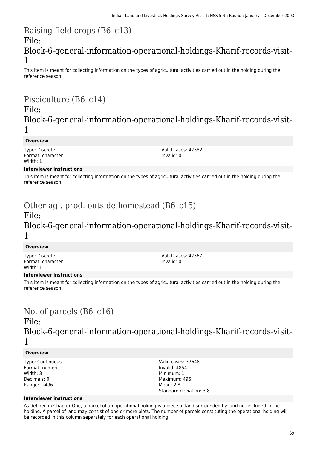# Raising field crops (B6\_c13) File: Block-6-general-information-operational-holdings-Kharif-records-visit-1

This item is meant for collecting information on the types of agricultural activities carried out in the holding during the reference season.

# Pisciculture (B6\_c14) File: Block-6-general-information-operational-holdings-Kharif-records-visit-1

### **Overview**

Type: Discrete Format: character Width: 1

Valid cases: 42382 Invalid: 0

### **Interviewer instructions**

This item is meant for collecting information on the types of agricultural activities carried out in the holding during the reference season.

### Other agl. prod. outside homestead (B6\_c15) File: Block-6-general-information-operational-holdings-Kharif-records-visit-1

### **Overview**

Type: Discrete Format: character Width: 1

Valid cases: 42367 Invalid: 0

### **Interviewer instructions**

This item is meant for collecting information on the types of agricultural activities carried out in the holding during the reference season.

# No. of parcels (B6\_c16) File: Block-6-general-information-operational-holdings-Kharif-records-visit-1

### **Overview**

Type: Continuous Format: numeric Width: 3 Decimals: 0 Range: 1-496

Valid cases: 37648 Invalid: 4854 Minimum: 1 Maximum: 496 Mean: 2.8 Standard deviation: 3.8

### **Interviewer instructions**

As defined in Chapter One, a parcel of an operational holding is a piece of land surrounded by land not included in the holding. A parcel of land may consist of one or more plots. The number of parcels constituting the operational holding will be recorded in this column separately for each operational holding.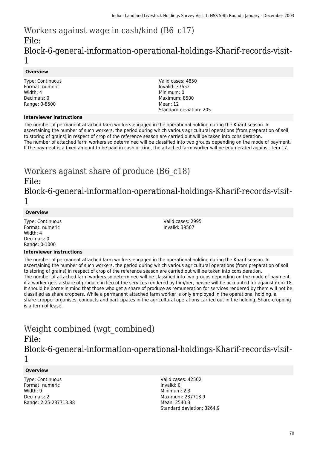# Workers against wage in cash/kind (B6\_c17) File: Block-6-general-information-operational-holdings-Kharif-records-visit-1

Valid cases: 4850 Invalid: 37652 Minimum: 0 Maximum: 8500 Mean: 12

Standard deviation: 205

### **Overview**

Type: Continuous Format: numeric Width: 4 Decimals: 0 Range: 0-8500

#### **Interviewer instructions**

The number of permanent attached farm workers engaged in the operational holding during the Kharif season. In ascertaining the number of such workers, the period during which various agricultural operations (from preparation of soil to storing of grains) in respect of crop of the reference season are carried out will be taken into consideration. The number of attached farm workers so determined will be classified into two groups depending on the mode of payment. If the payment is a fixed amount to be paid in cash or kind, the attached farm worker will be enumerated against item 17.

# Workers against share of produce (B6\_c18)

### File: Block-6-general-information-operational-holdings-Kharif-records-visit-1

### **Overview**

Type: Continuous Format: numeric Width: 4 Decimals: 0 Range: 0-1000

#### **Interviewer instructions**

The number of permanent attached farm workers engaged in the operational holding during the Kharif season. In ascertaining the number of such workers, the period during which various agricultural operations (from preparation of soil to storing of grains) in respect of crop of the reference season are carried out will be taken into consideration. The number of attached farm workers so determined will be classified into two groups depending on the mode of payment. if a worker gets a share of produce in lieu of the services rendered by him/her, he/she will be accounted for against item 18. It should be borne in mind that those who get a share of produce as remuneration for services rendered by them will not be classified as share croppers. While a permanent attached farm worker is only employed in the operational holding, a share-cropper organises, conducts and participates in the agricultural operations carried out in the holding. Share-cropping is a term of lease.

### Weight combined (wgt\_combined) File: Block-6-general-information-operational-holdings-Kharif-records-visit-

1

### **Overview**

Type: Continuous Format: numeric Width: 9 Decimals: 2 Range: 2.25-237713.88 Valid cases: 2995 Invalid: 39507

Valid cases: 42502 Invalid: 0 Minimum: 2.3 Maximum: 237713.9 Mean: 2540.3 Standard deviation: 3264.9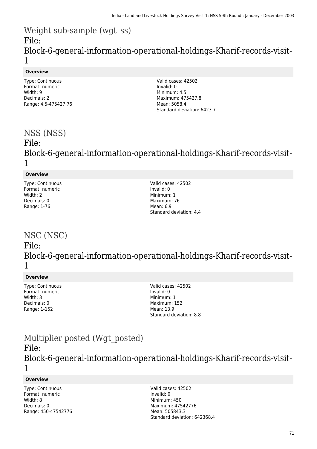# Weight sub-sample (wgt\_ss) File: Block-6-general-information-operational-holdings-Kharif-records-visit-1

### **Overview**

Type: Continuous Format: numeric Width: 9 Decimals: 2 Range: 4.5-475427.76 Valid cases: 42502 Invalid: 0 Minimum: 4.5 Maximum: 475427.8 Mean: 5058.4 Standard deviation: 6423.7

# NSS (NSS) File: Block-6-general-information-operational-holdings-Kharif-records-visit-1

### **Overview**

Type: Continuous Format: numeric Width: 2 Decimals: 0 Range: 1-76

Valid cases: 42502 Invalid: 0 Minimum: 1 Maximum: 76 Mean: 6.9 Standard deviation: 4.4

# NSC (NSC)

# File:

Block-6-general-information-operational-holdings-Kharif-records-visit-1

### **Overview**

Type: Continuous Format: numeric Width: 3 Decimals: 0 Range: 1-152

Valid cases: 42502 Invalid: 0 Minimum: 1 Maximum: 152 Mean: 13.9 Standard deviation: 8.8

# Multiplier posted (Wgt\_posted) File: Block-6-general-information-operational-holdings-Kharif-records-visit-

### 1

### **Overview**

Type: Continuous Format: numeric Width: 8 Decimals: 0 Range: 450-47542776 Valid cases: 42502 Invalid: 0 Minimum: 450 Maximum: 47542776 Mean: 505843.3 Standard deviation: 642368.4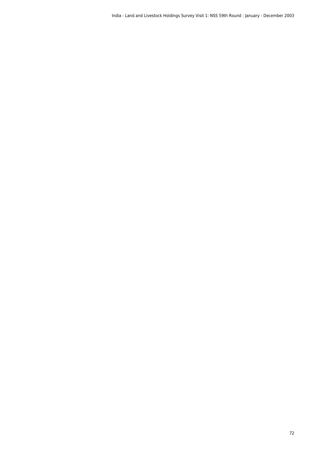India - Land and Livestock Holdings Survey Visit 1: NSS 59th Round : January - December 2003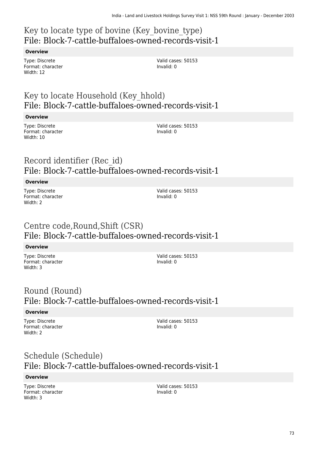### Key to locate type of bovine (Key\_bovine\_type) File: Block-7-cattle-buffaloes-owned-records-visit-1

**Overview**

Type: Discrete Format: character Width: 12

Valid cases: 50153 Invalid: 0

## Key to locate Household (Key\_hhold) File: Block-7-cattle-buffaloes-owned-records-visit-1

#### **Overview**

Type: Discrete Format: character Width: 10

Valid cases: 50153 Invalid: 0

### Record identifier (Rec\_id) File: Block-7-cattle-buffaloes-owned-records-visit-1

#### **Overview**

Type: Discrete Format: character Width: 2

Valid cases: 50153 Invalid: 0

### Centre code,Round,Shift (CSR) File: Block-7-cattle-buffaloes-owned-records-visit-1

#### **Overview**

Type: Discrete Format: character Width: 3

Valid cases: 50153 Invalid: 0

### Round (Round) File: Block-7-cattle-buffaloes-owned-records-visit-1

#### **Overview**

Type: Discrete Format: character Width: 2

Valid cases: 50153 Invalid: 0

### Schedule (Schedule) File: Block-7-cattle-buffaloes-owned-records-visit-1

#### **Overview**

Type: Discrete Format: character Width: 3

Valid cases: 50153 Invalid: 0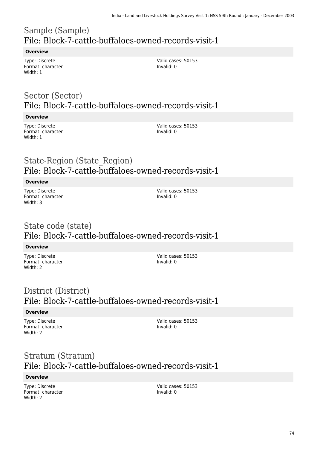## Sample (Sample) File: Block-7-cattle-buffaloes-owned-records-visit-1

#### **Overview**

Type: Discrete Format: character Width: 1

Valid cases: 50153 Invalid: 0

## Sector (Sector) File: Block-7-cattle-buffaloes-owned-records-visit-1

#### **Overview**

Type: Discrete Format: character Width: 1

Valid cases: 50153 Invalid: 0

### State-Region (State\_Region) File: Block-7-cattle-buffaloes-owned-records-visit-1

#### **Overview**

Type: Discrete Format: character Width: 3

Valid cases: 50153 Invalid: 0

### State code (state) File: Block-7-cattle-buffaloes-owned-records-visit-1

#### **Overview**

Type: Discrete Format: character Width: 2

Valid cases: 50153 Invalid: 0

### District (District) File: Block-7-cattle-buffaloes-owned-records-visit-1

#### **Overview**

Type: Discrete Format: character Width: 2

Valid cases: 50153 Invalid: 0

### Stratum (Stratum) File: Block-7-cattle-buffaloes-owned-records-visit-1

#### **Overview**

Type: Discrete Format: character Width: 2

Valid cases: 50153 Invalid: 0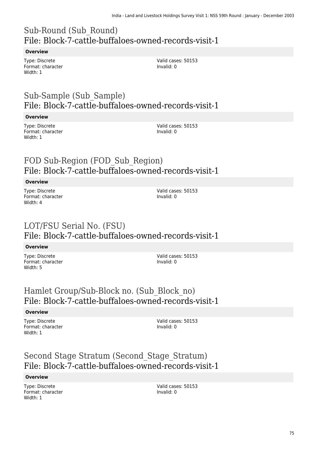## Sub-Round (Sub\_Round) File: Block-7-cattle-buffaloes-owned-records-visit-1

#### **Overview**

Type: Discrete Format: character Width: 1

Valid cases: 50153 Invalid: 0

## Sub-Sample (Sub\_Sample) File: Block-7-cattle-buffaloes-owned-records-visit-1

#### **Overview**

Type: Discrete Format: character Width: 1

Valid cases: 50153 Invalid: 0

### FOD Sub-Region (FOD\_Sub\_Region) File: Block-7-cattle-buffaloes-owned-records-visit-1

#### **Overview**

Type: Discrete Format: character Width: 4

Valid cases: 50153 Invalid: 0

### LOT/FSU Serial No. (FSU) File: Block-7-cattle-buffaloes-owned-records-visit-1

#### **Overview**

Type: Discrete Format: character Width: 5

Valid cases: 50153 Invalid: 0

### Hamlet Group/Sub-Block no. (Sub\_Block\_no) File: Block-7-cattle-buffaloes-owned-records-visit-1

#### **Overview**

Type: Discrete Format: character Width: 1

Valid cases: 50153 Invalid: 0

### Second Stage Stratum (Second\_Stage\_Stratum) File: Block-7-cattle-buffaloes-owned-records-visit-1

#### **Overview**

Type: Discrete Format: character Width: 1

Valid cases: 50153 Invalid: 0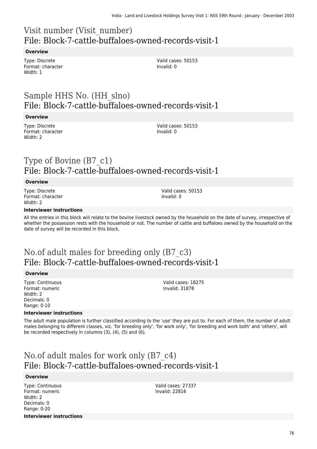### Visit number (Visit\_number) File: Block-7-cattle-buffaloes-owned-records-visit-1

#### **Overview**

Type: Discrete Format: character Width: 1

Valid cases: 50153 Invalid: 0

### Sample HHS No. (HH\_slno) File: Block-7-cattle-buffaloes-owned-records-visit-1

#### **Overview**

Type: Discrete Format: character Width: 2

Valid cases: 50153 Invalid: 0

## Type of Bovine (B7\_c1) File: Block-7-cattle-buffaloes-owned-records-visit-1

#### **Overview**

Type: Discrete Format: character Width: 2

#### Valid cases: 50153 Invalid: 0

#### **Interviewer instructions**

All the entries in this block will relate to the bovine livestock owned by the household on the date of survey, irrespective of whether the possession rests with the household or not. The number of cattle and buffaloes owned by the household on the date of survey will be recorded in this block.

### No.of adult males for breeding only (B7\_c3) File: Block-7-cattle-buffaloes-owned-records-visit-1

#### **Overview**

Type: Continuous Format: numeric Width: 2 Decimals: 0 Range: 0-10

Valid cases: 18275 Invalid: 31878

#### **Interviewer instructions**

The adult male population is further classified according to the 'use' they are put to. For each of them, the number of adult males belonging to different classes, viz. 'for breeding only', 'for work only', 'for breeding and work both' and 'others', will be recorded respectively in columns (3), (4), (5) and (6).

### No.of adult males for work only (B7\_c4) File: Block-7-cattle-buffaloes-owned-records-visit-1

#### **Overview**

Type: Continuous Format: numeric Width: 2 Decimals: 0 Range: 0-20

Valid cases: 27337 Invalid: 22816

**Interviewer instructions**

76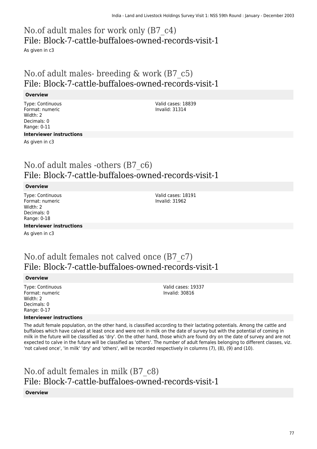# No.of adult males for work only (B7\_c4) File: Block-7-cattle-buffaloes-owned-records-visit-1

As given in c3

### No.of adult males- breeding & work (B7\_c5) File: Block-7-cattle-buffaloes-owned-records-visit-1

#### **Overview**

Type: Continuous Format: numeric Width: 2 Decimals: 0 Range: 0-11 **Interviewer instructions** As given in c3

Valid cases: 18839 Invalid: 31314

### No.of adult males -others (B7\_c6) File: Block-7-cattle-buffaloes-owned-records-visit-1

#### **Overview**

Type: Continuous Format: numeric Width: 2 Decimals: 0 Range: 0-18

Valid cases: 18191 Invalid: 31962

> Valid cases: 19337 Invalid: 30816

### **Interviewer instructions**

As given in c3

### No.of adult females not calved once (B7\_c7) File: Block-7-cattle-buffaloes-owned-records-visit-1

#### **Overview**

Type: Continuous Format: numeric Width: 2 Decimals: 0 Range: 0-17

#### **Interviewer instructions**

The adult female population, on the other hand, is classified according to their lactating potentials. Among the cattle and buffaloes which have calved at least once and were not in milk on the date of survey but with the potential of coming in milk in the future will be classified as 'dry'. On the other hand, those which are found dry on the date of survey and are not expected to calve in the future will be classified as 'others'. The number of adult females belonging to different classes, viz. 'not calved once', 'in milk' 'dry' and 'others', will be recorded respectively in columns (7), (8), (9) and (10).

No.of adult females in milk (B7\_c8) File: Block-7-cattle-buffaloes-owned-records-visit-1 **Overview**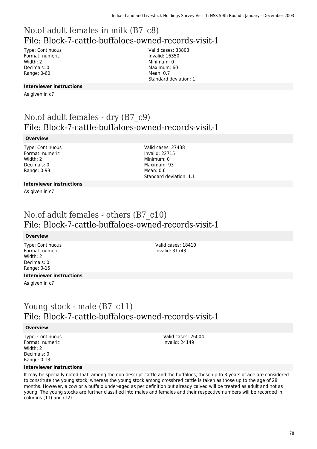### No.of adult females in milk (B7\_c8) File: Block-7-cattle-buffaloes-owned-records-visit-1

Type: Continuous Format: numeric Width: 2 Decimals: 0 Range: 0-60

Valid cases: 33803 Invalid: 16350 Minimum: 0 Maximum: 60 Mean: 0.7 Standard deviation: 1

#### **Interviewer instructions**

As given in c7

### No.of adult females - dry (B7\_c9) File: Block-7-cattle-buffaloes-owned-records-visit-1

#### **Overview**

Type: Continuous Format: numeric Width: 2 Decimals: 0 Range: 0-93

Valid cases: 27438 Invalid: 22715 Minimum: 0 Maximum: 93 Mean: 0.6 Standard deviation: 1.1

#### **Interviewer instructions**

As given in c7

### No.of adult females - others (B7\_c10) File: Block-7-cattle-buffaloes-owned-records-visit-1

#### **Overview**

Type: Continuous Format: numeric Width: 2 Decimals: 0 Range: 0-15

#### **Interviewer instructions**

As given in c7

Valid cases: 18410 Invalid: 31743

### Young stock - male (B7\_c11) File: Block-7-cattle-buffaloes-owned-records-visit-1

#### **Overview**

Type: Continuous Format: numeric Width: 2 Decimals: 0 Range: 0-13

Valid cases: 26004 Invalid: 24149

#### **Interviewer instructions**

It may be specially noted that, among the non-descript cattle and the buffaloes, those up to 3 years of age are considered to constitute the young stock, whereas the young stock among crossbred cattle is taken as those up to the age of 28 months. However, a cow or a buffalo under-aged as per definition but already calved will be treated as adult and not as young. The young stocks are further classified into males and females and their respective numbers will be recorded in columns (11) and (12).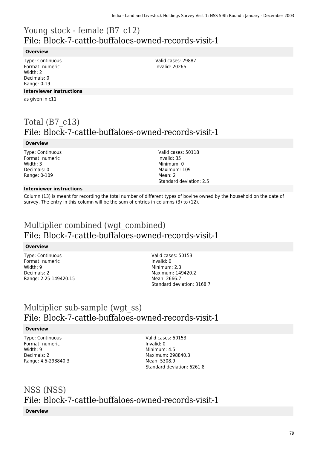### Young stock - female (B7\_c12) File: Block-7-cattle-buffaloes-owned-records-visit-1

#### **Overview**

Type: Continuous Format: numeric Width: 2 Decimals: 0 Range: 0-19

**Interviewer instructions**

as given in c11

## Total (B7\_c13) File: Block-7-cattle-buffaloes-owned-records-visit-1

#### **Overview**

Type: Continuous Format: numeric Width: 3 Decimals: 0 Range: 0-109

**Interviewer instructions**

Valid cases: 50118 Invalid: 35 Minimum: 0 Maximum: 109 Mean: 2 Standard deviation: 2.5

#### Column (13) is meant for recording the total number of different types of bovine owned by the household on the date of survey. The entry in this column will be the sum of entries in columns (3) to (12).

### Multiplier combined (wgt\_combined) File: Block-7-cattle-buffaloes-owned-records-visit-1

#### **Overview**

Type: Continuous Format: numeric Width: 9 Decimals: 2 Range: 2.25-149420.15

Valid cases: 50153 Invalid: 0 Minimum: 2.3 Maximum: 149420.2 Mean: 2666.7 Standard deviation: 3168.7

### Multiplier sub-sample (wgt\_ss) File: Block-7-cattle-buffaloes-owned-records-visit-1

#### **Overview**

Type: Continuous Format: numeric Width: 9 Decimals: 2 Range: 4.5-298840.3

Valid cases: 50153 Invalid: 0 Minimum: 4.5 Maximum: 298840.3 Mean: 5308.9 Standard deviation: 6261.8

### NSS (NSS) File: Block-7-cattle-buffaloes-owned-records-visit-1

#### **Overview**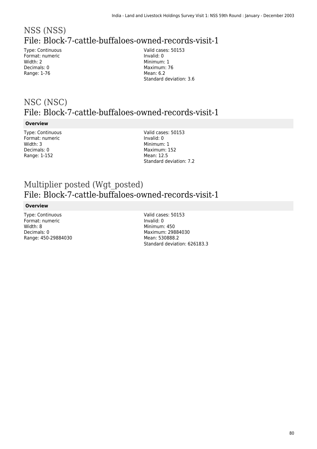## NSS (NSS) File: Block-7-cattle-buffaloes-owned-records-visit-1

Type: Continuous Format: numeric Width: 2 Decimals: 0 Range: 1-76

Valid cases: 50153 Invalid: 0 Minimum: 1 Maximum: 76 Mean: 6.2 Standard deviation: 3.6

### NSC (NSC) File: Block-7-cattle-buffaloes-owned-records-visit-1

#### **Overview**

Type: Continuous Format: numeric Width: 3 Decimals: 0 Range: 1-152

Valid cases: 50153 Invalid: 0 Minimum: 1 Maximum: 152 Mean: 12.5 Standard deviation: 7.2

### Multiplier posted (Wgt\_posted) File: Block-7-cattle-buffaloes-owned-records-visit-1

#### **Overview**

Type: Continuous Format: numeric Width: 8 Decimals: 0 Range: 450-29884030 Valid cases: 50153 Invalid: 0 Minimum: 450 Maximum: 29884030 Mean: 530888.2 Standard deviation: 626183.3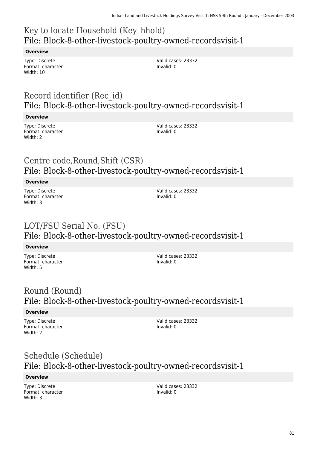## Key to locate Household (Key\_hhold) File: Block-8-other-livestock-poultry-owned-recordsvisit-1

**Overview**

Type: Discrete Format: character Width: 10

Valid cases: 23332 Invalid: 0

## Record identifier (Rec\_id) File: Block-8-other-livestock-poultry-owned-recordsvisit-1

#### **Overview**

Type: Discrete Format: character Width: 2

Valid cases: 23332 Invalid: 0

### Centre code,Round,Shift (CSR) File: Block-8-other-livestock-poultry-owned-recordsvisit-1

#### **Overview**

Type: Discrete Format: character Width: 3

Valid cases: 23332 Invalid: 0

### LOT/FSU Serial No. (FSU) File: Block-8-other-livestock-poultry-owned-recordsvisit-1

#### **Overview**

Type: Discrete Format: character Width: 5

Valid cases: 23332 Invalid: 0

### Round (Round) File: Block-8-other-livestock-poultry-owned-recordsvisit-1

#### **Overview**

Type: Discrete Format: character Width: 2

Valid cases: 23332 Invalid: 0

### Schedule (Schedule) File: Block-8-other-livestock-poultry-owned-recordsvisit-1

#### **Overview**

Type: Discrete Format: character Width: 3

Valid cases: 23332 Invalid: 0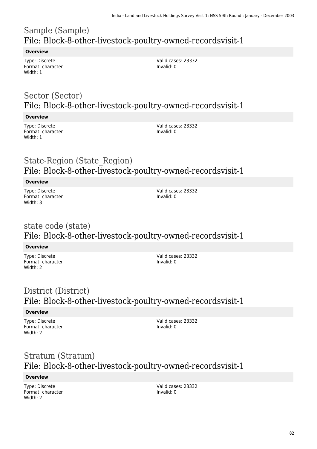## Sample (Sample) File: Block-8-other-livestock-poultry-owned-recordsvisit-1

#### **Overview**

Type: Discrete Format: character Width: 1

Valid cases: 23332 Invalid: 0

## Sector (Sector) File: Block-8-other-livestock-poultry-owned-recordsvisit-1

#### **Overview**

Type: Discrete Format: character Width: 1

Valid cases: 23332 Invalid: 0

### State-Region (State\_Region) File: Block-8-other-livestock-poultry-owned-recordsvisit-1

#### **Overview**

Type: Discrete Format: character Width: 3

Valid cases: 23332 Invalid: 0

### state code (state) File: Block-8-other-livestock-poultry-owned-recordsvisit-1

#### **Overview**

Type: Discrete Format: character Width: 2

Valid cases: 23332 Invalid: 0

### District (District) File: Block-8-other-livestock-poultry-owned-recordsvisit-1

#### **Overview**

Type: Discrete Format: character Width: 2

Valid cases: 23332 Invalid: 0

### Stratum (Stratum) File: Block-8-other-livestock-poultry-owned-recordsvisit-1

#### **Overview**

Type: Discrete Format: character Width: 2

Valid cases: 23332 Invalid: 0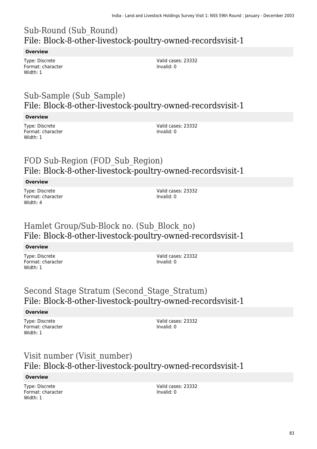## Sub-Round (Sub\_Round) File: Block-8-other-livestock-poultry-owned-recordsvisit-1

#### **Overview**

Type: Discrete Format: character Width: 1

Valid cases: 23332 Invalid: 0

## Sub-Sample (Sub\_Sample) File: Block-8-other-livestock-poultry-owned-recordsvisit-1

#### **Overview**

Type: Discrete Format: character Width: 1

Valid cases: 23332 Invalid: 0

### FOD Sub-Region (FOD\_Sub\_Region) File: Block-8-other-livestock-poultry-owned-recordsvisit-1

#### **Overview**

Type: Discrete Format: character Width: 4

Valid cases: 23332 Invalid: 0

### Hamlet Group/Sub-Block no. (Sub\_Block\_no) File: Block-8-other-livestock-poultry-owned-recordsvisit-1

#### **Overview**

Type: Discrete Format: character Width: 1

Valid cases: 23332 Invalid: 0

### Second Stage Stratum (Second\_Stage\_Stratum) File: Block-8-other-livestock-poultry-owned-recordsvisit-1

#### **Overview**

Type: Discrete Format: character Width: 1

Valid cases: 23332 Invalid: 0

### Visit number (Visit\_number) File: Block-8-other-livestock-poultry-owned-recordsvisit-1

#### **Overview**

Type: Discrete Format: character Width: 1

Valid cases: 23332 Invalid: 0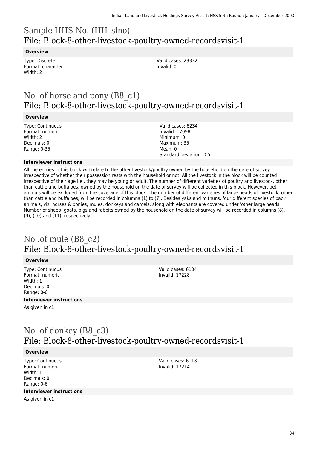## Sample HHS No. (HH\_slno) File: Block-8-other-livestock-poultry-owned-recordsvisit-1

#### **Overview**

Type: Discrete Format: character Width: 2

Valid cases: 23332 Invalid: 0

## No. of horse and pony (B8\_c1) File: Block-8-other-livestock-poultry-owned-recordsvisit-1

#### **Overview**

Type: Continuous Format: numeric Width: 2 Decimals: 0 Range: 0-35

Valid cases: 6234 Invalid: 17098 Minimum: 0 Maximum: 35 Mean: 0 Standard deviation: 0.5

#### **Interviewer instructions**

All the entries in this block will relate to the other livestock/poultry owned by the household on the date of survey irrespective of whether their possession rests with the household or not. All the livestock in the block will be counted irrespective of their age i.e., they may be young or adult. The number of different varieties of poultry and livestock, other than cattle and buffaloes, owned by the household on the date of survey will be collected in this block. However, pet animals will be excluded from the coverage of this block. The number of different varieties of large heads of livestock, other than cattle and buffaloes, will be recorded in columns (1) to (7). Besides yaks and mithuns, four different species of pack animals, viz. horses & ponies, mules, donkeys and camels, along with elephants are covered under 'other large heads'. Number of sheep, goats, pigs and rabbits owned by the household on the date of survey will be recorded in columns (8), (9), (10) and (11), respectively.

## No .of mule (B8\_c2) File: Block-8-other-livestock-poultry-owned-recordsvisit-1

#### **Overview**

Type: Continuous Format: numeric Width: 1 Decimals: 0 Range: 0-6

Valid cases: 6104 Invalid: 17228

#### **Interviewer instructions**

As given in c1

### No. of donkey (B8\_c3) File: Block-8-other-livestock-poultry-owned-recordsvisit-1

#### **Overview**

Type: Continuous Format: numeric Width: 1 Decimals: 0 Range: 0-6

**Interviewer instructions**

As given in c1

Valid cases: 6118 Invalid: 17214

84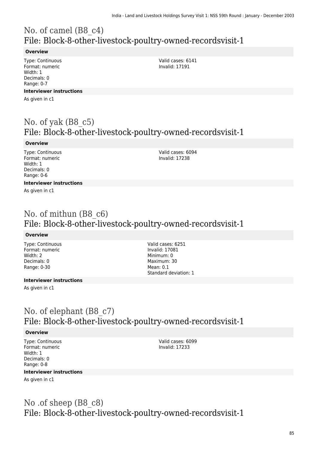## No. of camel (B8\_c4) File: Block-8-other-livestock-poultry-owned-recordsvisit-1

#### **Overview**

Type: Continuous Format: numeric Width: 1 Decimals: 0 Range: 0-7

**Interviewer instructions**

As given in c1

### No. of yak (B8\_c5) File: Block-8-other-livestock-poultry-owned-recordsvisit-1

#### **Overview**

Type: Continuous Format: numeric Width: 1 Decimals: 0 Range: 0-6

Valid cases: 6094 Invalid: 17238

Valid cases: 6141 Invalid: 17191

#### **Interviewer instructions**

As given in c1

### No. of mithun (B8\_c6) File: Block-8-other-livestock-poultry-owned-recordsvisit-1

#### **Overview**

Type: Continuous Format: numeric Width: 2 Decimals: 0 Range: 0-30

Valid cases: 6251 Invalid: 17081 Minimum: 0 Maximum: 30 Mean: 0.1 Standard deviation: 1

#### **Interviewer instructions**

As given in c1

## No. of elephant (B8\, c7) File: Block-8-other-livestock-poultry-owned-recordsvisit-1

#### **Overview**

Type: Continuous Format: numeric Width: 1 Decimals: 0 Range: 0-8

Valid cases: 6099 Invalid: 17233

#### **Interviewer instructions**

As given in c1

### No .of sheep (B8\_c8) File: Block-8-other-livestock-poultry-owned-recordsvisit-1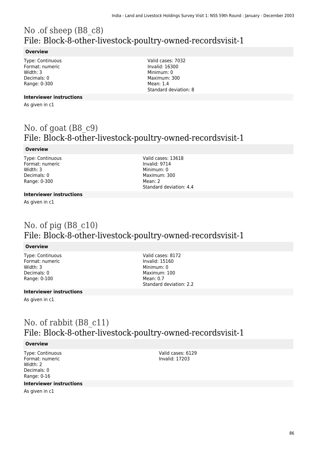## No .of sheep (B8\_c8) File: Block-8-other-livestock-poultry-owned-recordsvisit-1

#### **Overview**

Type: Continuous Format: numeric Width: 3 Decimals: 0 Range: 0-300

Valid cases: 7032 Invalid: 16300 Minimum: 0 Maximum: 300 Mean: 1.4 Standard deviation: 8

#### **Interviewer instructions**

As given in c1

### No. of goat (B8\_c9) File: Block-8-other-livestock-poultry-owned-recordsvisit-1

#### **Overview**

Type: Continuous Format: numeric Width: 3 Decimals: 0 Range: 0-300

Valid cases: 13618 Invalid: 9714 Minimum: 0 Maximum: 300 Mean: 2 Standard deviation: 4.4

#### **Interviewer instructions**

As given in c1

### No. of pig (B8\_c10) File: Block-8-other-livestock-poultry-owned-recordsvisit-1

#### **Overview**

Type: Continuous Format: numeric Width: 3 Decimals: 0 Range: 0-100

Valid cases: 8172 Invalid: 15160 Minimum: 0 Maximum: 100 Mean: 0.7 Standard deviation: 2.2

#### **Interviewer instructions**

As given in c1

### No. of rabbit (B8\_c11) File: Block-8-other-livestock-poultry-owned-recordsvisit-1

#### **Overview**

Type: Continuous Format: numeric Width: 2 Decimals: 0 Range: 0-16

#### **Interviewer instructions**

As given in c1

Valid cases: 6129 Invalid: 17203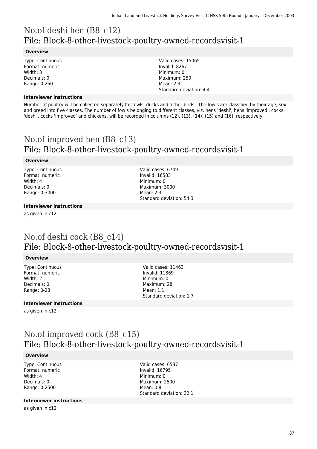## No.of deshi hen (B8\_c12) File: Block-8-other-livestock-poultry-owned-recordsvisit-1

#### **Overview**

Type: Continuous Format: numeric Width: 3 Decimals: 0 Range: 0-250

#### **Interviewer instructions**

Valid cases: 15065 Invalid: 8267 Minimum: 0 Maximum: 250 Mean: 2.3 Standard deviation: 4.4

Number of poultry will be collected separately for fowls, ducks and 'other birds'. The fowls are classified by their age, sex and breed into five classes. The number of fowls belonging to different classes, viz. hens 'deshi', hens 'improved', cocks 'deshi', cocks 'improved' and chickens, will be recorded in columns (12), (13), (14), (15) and (16), respectively.

### No.of improved hen (B8\_c13) File: Block-8-other-livestock-poultry-owned-recordsvisit-1

#### **Overview**

Type: Continuous Format: numeric Width: 4 Decimals: 0 Range: 0-3000

Valid cases: 6749 Invalid: 16583 Minimum: 0 Maximum: 3000 Mean: 2.3 Standard deviation: 54.3

#### **Interviewer instructions**

as given in c12

### No.of deshi cock (B8\_c14) File: Block-8-other-livestock-poultry-owned-recordsvisit-1

#### **Overview**

Type: Continuous Format: numeric Width: 2 Decimals: 0 Range: 0-28

Valid cases: 11463 Invalid: 11869 Minimum: 0 Maximum: 28 Mean: 1.1 Standard deviation: 1.7

#### **Interviewer instructions**

as given in c12

### No.of improved cock (B8\_c15) File: Block-8-other-livestock-poultry-owned-recordsvisit-1

#### **Overview**

Type: Continuous Format: numeric Width: 4 Decimals: 0 Range: 0-2500

Valid cases: 6537 Invalid: 16795 Minimum: 0 Maximum: 2500 Mean: 0.8 Standard deviation: 32.1

#### **Interviewer instructions**

as given in c12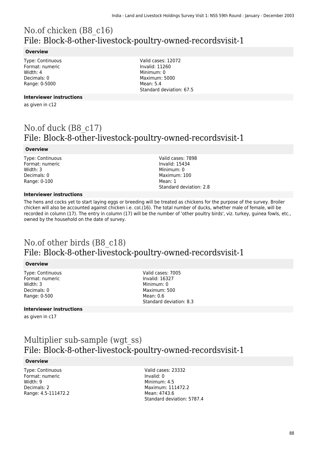## No.of chicken (B8\_c16) File: Block-8-other-livestock-poultry-owned-recordsvisit-1

#### **Overview**

Type: Continuous Format: numeric Width: 4 Decimals: 0 Range: 0-5000

Valid cases: 12072 Invalid: 11260 Minimum: 0 Maximum: 5000 Mean: 5.4 Standard deviation: 67.5

> Valid cases: 7898 Invalid: 15434 Minimum: 0 Maximum: 100 Mean: 1

Standard deviation: 2.8

#### **Interviewer instructions**

as given in c12

## No.of duck (B8\_c17) File: Block-8-other-livestock-poultry-owned-recordsvisit-1

#### **Overview**

Type: Continuous Format: numeric Width: 3 Decimals: 0 Range: 0-100

#### **Interviewer instructions**

The hens and cocks yet to start laying eggs or breeding will be treated as chickens for the purpose of the survey. Broiler chicken will also be accounted against chicken i.e. col.(16). The total number of ducks, whether male of female, will be recorded in column (17). The entry in column (17) will be the number of 'other poultry birds', viz. turkey, guinea fowls, etc., owned by the household on the date of survey.

### No.of other birds (B8\_c18) File: Block-8-other-livestock-poultry-owned-recordsvisit-1

#### **Overview**

Type: Continuous Format: numeric Width: 3 Decimals: 0 Range: 0-500

Valid cases: 7005 Invalid: 16327 Minimum: 0 Maximum: 500 Mean: 0.6 Standard deviation: 8.3

#### **Interviewer instructions**

as given in c17

### Multiplier sub-sample (wgt\_ss) File: Block-8-other-livestock-poultry-owned-recordsvisit-1

#### **Overview**

Type: Continuous Format: numeric Width: 9 Decimals: 2 Range: 4.5-111472.2 Valid cases: 23332 Invalid: 0 Minimum: 4.5 Maximum: 111472.2 Mean: 4743.6 Standard deviation: 5787.4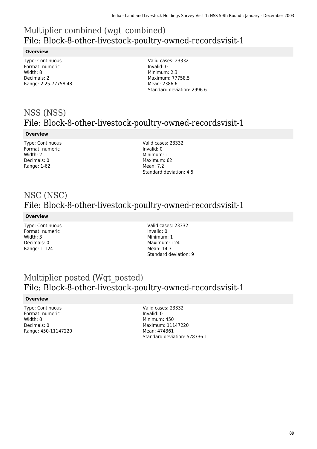## Multiplier combined (wgt\_combined) File: Block-8-other-livestock-poultry-owned-recordsvisit-1

#### **Overview**

Type: Continuous Format: numeric Width: 8 Decimals: 2 Range: 2.25-77758.48 Valid cases: 23332 Invalid: 0 Minimum: 2.3 Maximum: 77758.5 Mean: 2386.6 Standard deviation: 2996.6

## NSS (NSS) File: Block-8-other-livestock-poultry-owned-recordsvisit-1

#### **Overview**

Type: Continuous Format: numeric Width: 2 Decimals: 0 Range: 1-62

Valid cases: 23332 Invalid: 0 Minimum: 1 Maximum: 62 Mean: 7.2 Standard deviation: 4.5

### NSC (NSC) File: Block-8-other-livestock-poultry-owned-recordsvisit-1

#### **Overview**

Type: Continuous Format: numeric Width: 3 Decimals: 0 Range: 1-124

Valid cases: 23332 Invalid: 0 Minimum: 1 Maximum: 124 Mean: 14.3 Standard deviation: 9

### Multiplier posted (Wgt\_posted) File: Block-8-other-livestock-poultry-owned-recordsvisit-1

#### **Overview**

Type: Continuous Format: numeric Width: 8 Decimals: 0 Range: 450-11147220

Valid cases: 23332 Invalid: 0 Minimum: 450 Maximum: 11147220 Mean: 474361 Standard deviation: 578736.1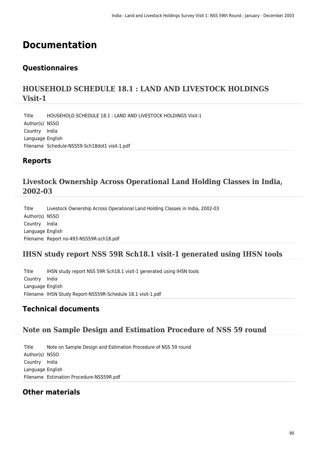# **Documentation**

### **Questionnaires**

### **HOUSEHOLD SCHEDULE 18.1 : LAND AND LIVESTOCK HOLDINGS Visit-1**

Title HOUSEHOLD SCHEDULE 18.1 : LAND AND LIVESTOCK HOLDINGS Visit-1 Author(s) NSSO Country India Language English Filename Schedule-NSS59-Sch18dot1 visit-1.pdf

### **Reports**

### **Livestock Ownership Across Operational Land Holding Classes in India, 2002-03**

Title Livestock Ownership Across Operational Land Holding Classes in India, 2002-03 Author(s) NSSO Country India Language English Filename Report no-493-NSS59R-sch18.pdf

### **IHSN study report NSS 59R Sch18.1 visit-1 generated using IHSN tools**

Title IHSN study report NSS 59R Sch18.1 visit-1 generated using IHSN tools Country India Language English Filename IHSN Study Report-NSS59R-Schedule 18.1 visit-1.pdf

### **Technical documents**

### **Note on Sample Design and Estimation Procedure of NSS 59 round**

Title Note on Sample Design and Estimation Procedure of NSS 59 round Author(s) NSSO Country India Language English Filename Estimation Procedure-NSS59R.pdf

### **Other materials**